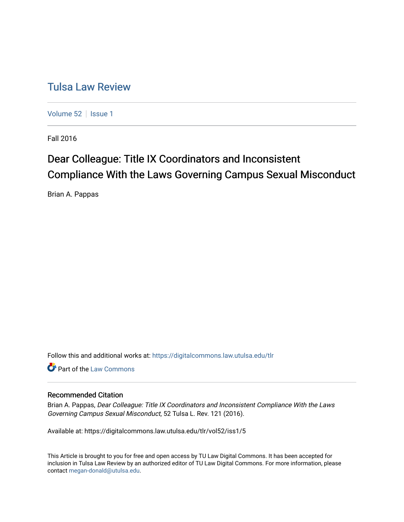# [Tulsa Law Review](https://digitalcommons.law.utulsa.edu/tlr)

[Volume 52](https://digitalcommons.law.utulsa.edu/tlr/vol52) | [Issue 1](https://digitalcommons.law.utulsa.edu/tlr/vol52/iss1)

Fall 2016

# Dear Colleague: Title IX Coordinators and Inconsistent Compliance With the Laws Governing Campus Sexual Misconduct

Brian A. Pappas

Follow this and additional works at: [https://digitalcommons.law.utulsa.edu/tlr](https://digitalcommons.law.utulsa.edu/tlr?utm_source=digitalcommons.law.utulsa.edu%2Ftlr%2Fvol52%2Fiss1%2F5&utm_medium=PDF&utm_campaign=PDFCoverPages) 

Part of the [Law Commons](http://network.bepress.com/hgg/discipline/578?utm_source=digitalcommons.law.utulsa.edu%2Ftlr%2Fvol52%2Fiss1%2F5&utm_medium=PDF&utm_campaign=PDFCoverPages)

# Recommended Citation

Brian A. Pappas, Dear Colleague: Title IX Coordinators and Inconsistent Compliance With the Laws Governing Campus Sexual Misconduct, 52 Tulsa L. Rev. 121 (2016).

Available at: https://digitalcommons.law.utulsa.edu/tlr/vol52/iss1/5

This Article is brought to you for free and open access by TU Law Digital Commons. It has been accepted for inclusion in Tulsa Law Review by an authorized editor of TU Law Digital Commons. For more information, please contact [megan-donald@utulsa.edu.](mailto:megan-donald@utulsa.edu)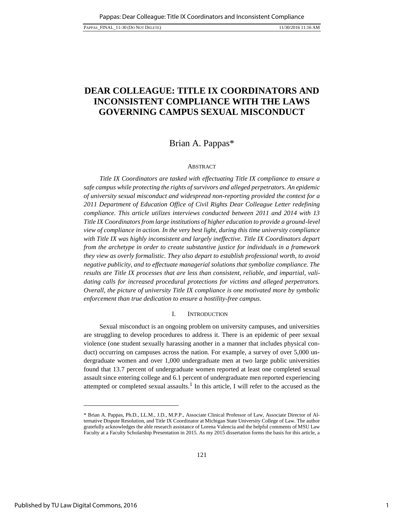# <span id="page-1-0"></span>**DEAR COLLEAGUE: TITLE IX COORDINATORS AND INCONSISTENT COMPLIANCE WITH THE LAWS GOVERNING CAMPUS SEXUAL MISCONDUCT**

# Brian A. Pappas\*

# ABSTRACT

*Title IX Coordinators are tasked with effectuating Title IX compliance to ensure a safe campus while protecting the rights of survivors and alleged perpetrators. An epidemic of university sexual misconduct and widespread non-reporting provided the context for a*  2011 Department of Education Office of Civil Rights Dear Colleague Letter redefining *compliance. This article utilizes interviews conducted between 2011 and 2014 with 13 Title IX Coordinators from large institutions of higher education to provide a ground-level view of compliance in action. In the very best light, during this time university compliance with Title IX was highly inconsistent and largely ineffective. Title IX Coordinators depart from the archetype in order to create substantive justice for individuals in a framework they view as overly formalistic. They also depart to establish professional worth, to avoid negative publicity, and to effectuate managerial solutions that symbolize compliance. The results are Title IX processes that are less than consistent, reliable, and impartial, validating calls for increased procedural protections for victims and alleged perpetrators. Overall, the picture of university Title IX compliance is one motivated more by symbolic enforcement than true dedication to ensure a hostility-free campus.*

### <span id="page-1-1"></span>I. I[NTRODUCTION](#page-1-0)

Sexual misconduct is an ongoing problem on university campuses, and universities are struggling to develop procedures to address it. There is an epidemic of peer sexual violence (one student sexually harassing another in a manner that includes physical conduct) occurring on campuses across the nation. For example, a survey of over 5,000 undergraduate women and over 1,000 undergraduate men at two large public universities found that 13.7 percent of undergraduate women reported at least one completed sexual assault since entering college and 6.1 percent of undergraduate men reported experiencing attempted or completed sexual assaults.<sup>1</sup> In this article, I will refer to the accused as the

<sup>\*</sup> Brian A. Pappas, Ph.D., LL.M., J.D., M.P.P., Associate Clinical Professor of Law, Associate Director of Alternative Dispute Resolution, and Title IX Coordinator at Michigan State University College of Law. The author gratefully acknowledges the able research assistance of Lorena Valencia and the helpful comments of MSU Law Faculty at a Faculty Scholarship Presentation in 2015. As my 2015 dissertation forms the basis for this article, a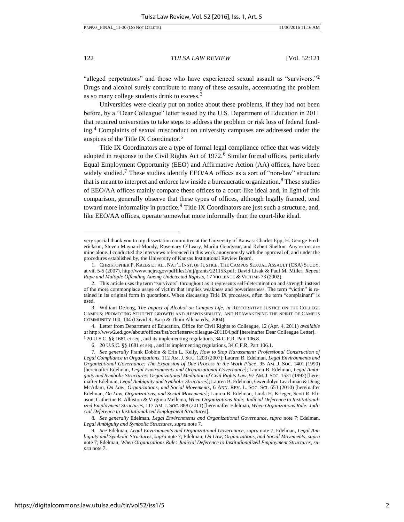l

122 *TULSA LAW REVIEW* [Vol. 52:121

"alleged perpetrators" and those who have experienced sexual assault as "survivors."<sup>2</sup> Drugs and alcohol surely contribute to many of these assaults, accentuating the problem as so many college students drink to excess.<sup>3</sup>

Universities were clearly put on notice about these problems, if they had not been before, by a "Dear Colleague" letter issued by the U.S. Department of Education in 2011 that required universities to take steps to address the problem or risk loss of federal funding.<sup>4</sup> Complaints of sexual misconduct on university campuses are addressed under the auspices of the Title IX Coordinator.<sup>5</sup>

<span id="page-2-0"></span>Title IX Coordinators are a type of formal legal compliance office that was widely adopted in response to the Civil Rights Act of 1972.<sup>6</sup> Similar formal offices, particularly Equal Employment Opportunity (EEO) and Affirmative Action (AA) offices, have been widely studied.<sup>7</sup> These studies identify EEO/AA offices as a sort of "non-law" structure that is meant to interpret and enforce law inside a bureaucratic organization.<sup>8</sup> These studies of EEO/AA offices mainly compare these offices to a court-like ideal and, in light of this comparison, generally observe that these types of offices, although legally framed, tend toward more informality in practice.<sup>9</sup> Title IX Coordinators are just such a structure, and, like EEO/AA offices, operate somewhat more informally than the court-like ideal.

very special thank you to my dissertation committee at the University of Kansas: Charles Epp, H. George Frederickson, Steven Maynard-Moody, Rosemary O'Leary, Marilu Goodyear, and Robert Shelton. Any errors are mine alone. I conducted the interviews referenced in this work anonymously with the approval of, and under the procedures established by, the University of Kansas Institutional Review Board.

<sup>1.</sup> CHRISTOPHER P. KREBS ET AL., NAT'L INST. OF JUSTICE, THE CAMPUS SEXUAL ASSAULT (CSA) STUDY, at vii, 5-5 (2007), [http://www.ncjrs.gov/pdffiles1/nij/grants/221153.pdf;](http://www.ncjrs.gov/pdffiles1/nij/grants/221153.pdf) David Lisak & Paul M. Miller, *Repeat Rape and Multiple Offending Among Undetected Rapists*, 17 VIOLENCE & VICTIMS 73 (2002).

<sup>2.</sup> This article uses the term "survivors" throughout as it represents self-determination and strength instead of the more commonplace usage of victim that implies weakness and powerlessness. The term "victim" is retained in its original form in quotations. When discussing Title IX processes, often the term "complainant" is used.

<sup>3.</sup> William DeJong, *The Impact of Alcohol on Campus Life, in* RESTORATIVE JUSTICE ON THE COLLEGE CAMPUS: PROMOTING STUDENT GROWTH AND RESPONSIBILITY, AND REAWAKENING THE SPIRIT OF CAMPUS COMMUNITY 100, 104 (David R. Karp & Thom Allena eds., 2004).

<sup>4.</sup> Letter from Department of Education, Office for Civil Rights to Colleague, 12 (Apr. 4, 2011) *available at* [http://www2.ed.gov/about/offices/list/ocr/letters/colleague-201104.pdf \[](http://www2.ed.gov/about/offices/list/ocr/letters/colleague-201104.pdf)hereinafter Dear Colleague Letter]. 5 20 U.S.C. §§ 1681 et seq., and its implementing regulations, 34 C.F.R. Part 106.8.

<sup>6. 20</sup> U.S.C. §§ 1681 et seq., and its implementing regulations, 34 C.F.R. Part 106.1.

<sup>7</sup>*. See generally* Frank Dobbin & Erin L. Kelly, *How to Stop Harassment: Professional Construction of Legal Compliance in Organizations*, 112 AM. J. SOC. 1203 (2007); Lauren B. Edelman, *Legal Environments and Organizational Governance: The Expansion of Due Process in the Work Place*, 95 AM. J. SOC. 1401 (1990) [hereinafter Edelman, *Legal Environments and Organizational Governance*]; Lauren B. Edelman, *Legal Ambiguity and Symbolic Structures: Organizational Mediation of Civil Rights Law*, 97 AM.J. SOC. 1531 (1992) [hereinafter Edelman, *Legal Ambiguity and Symbolic Structures*]; Lauren B. Edelman, Gwendolyn Leachman & Doug McAdam, *On Law, Organizations, and Social Movements*, 6 ANN. REV. L. SOC. SCI. 653 (2010) [hereinafter Edelman, *On Law, Organizations, and Social Movements*]; Lauren B. Edelman, Linda H. Krieger, Scott R. Eliason, Catherine R. Albiston & Virginia Mellema, *When Organizations Rule: Judicial Deference to Institutionalized Employment Structures*, 117 AM. J. SOC. 888 (2011) [hereinafter Edelman, *When Organizations Rule: Judicial Deference to Institutionalized Employment Structures*].

<sup>8</sup>*. See generally* Edelman, *Legal Environments and Organizational Governance*, *supra* note 7; Edelman, *Legal Ambiguity and Symbolic Structures*, *supra* note 7.

<sup>9</sup>*. See* Edelman, *Legal Environments and Organizational Governance*, *supra* note 7; Edelman, *Legal Ambiguity and Symbolic Structures*, *supra* note 7; Edelman, *On Law, Organizations, and Social Movements*, *supra*  note 7; Edelman, *When Organizations Rule: Judicial Deference to Institutionalized Employment Structures*, *supra* note 7.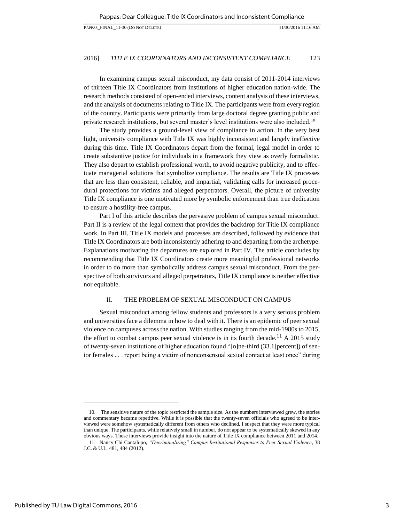In examining campus sexual misconduct, my data consist of 2011-2014 interviews of thirteen Title IX Coordinators from institutions of higher education nation-wide. The research methods consisted of open-ended interviews, content analysis of these interviews, and the analysis of documents relating to Title IX. The participants were from every region of the country. Participants were primarily from large doctoral degree granting public and private research institutions, but several master's level institutions were also included.<sup>10</sup>

The study provides a ground-level view of compliance in action. In the very best light, university compliance with Title IX was highly inconsistent and largely ineffective during this time. Title IX Coordinators depart from the formal, legal model in order to create substantive justice for individuals in a framework they view as overly formalistic. They also depart to establish professional worth, to avoid negative publicity, and to effectuate managerial solutions that symbolize compliance. The results are Title IX processes that are less than consistent, reliable, and impartial, validating calls for increased procedural protections for victims and alleged perpetrators. Overall, the picture of university Title IX compliance is one motivated more by symbolic enforcement than true dedication to ensure a hostility-free campus.

Part I of this article describes the pervasive problem of campus sexual misconduct. Part II is a review of the legal context that provides the backdrop for Title IX compliance work. In Part III, Title IX models and processes are described, followed by evidence that Title IX Coordinators are both inconsistently adhering to and departing from the archetype. Explanations motivating the departures are explored in Part IV. The article concludes by recommending that Title IX Coordinators create more meaningful professional networks in order to do more than symbolically address campus sexual misconduct. From the perspective of both survivors and alleged perpetrators, Title IX compliance is neither effective nor equitable.

# II. THE PROBLEM OF SEXUAL [MISCONDUCT](#page-1-0) ON CAMPUS

Sexual misconduct among fellow students and professors is a very serious problem and universities face a dilemma in how to deal with it. There is an epidemic of peer sexual violence on campuses across the nation. With studies ranging from the mid-1980s to 2015, the effort to combat campus peer sexual violence is in its fourth decade.<sup>11</sup> A 2015 study of twenty-seven institutions of higher education found "[o]ne-third (33.1[percent]) of senior females . . . report being a victim of nonconsensual sexual contact at least once" during

<sup>10.</sup> The sensitive nature of the topic restricted the sample size. As the numbers interviewed grew, the stories and commentary became repetitive. While it is possible that the twenty-seven officials who agreed to be interviewed were somehow systematically different from others who declined, I suspect that they were more typical than unique. The participants, while relatively small in number, do not appear to be systematically skewed in any obvious ways. These interviews provide insight into the nature of Title IX compliance between 2011 and 2014.

<sup>11.</sup> Nancy Chi Cantalupo, *"Decriminalizing" Campus Institutional Responses to Peer Sexual Violence*, 38 J.C. & U.L. 481, 484 (2012).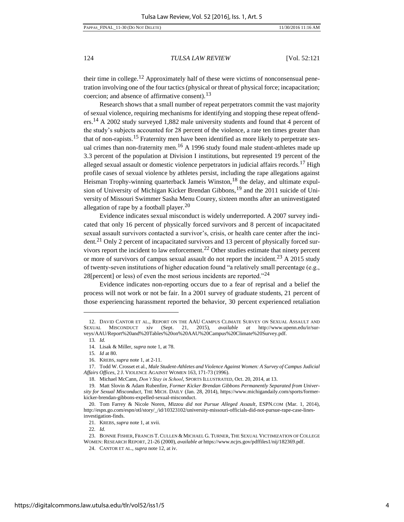their time in college.<sup>12</sup> Approximately half of these were victims of nonconsensual penetration involving one of the four tactics (physical or threat of physical force; incapacitation; coercion; and absence of affirmative consent).<sup>13</sup>

Research shows that a small number of repeat perpetrators commit the vast majority of sexual violence, requiring mechanisms for identifying and stopping these repeat offenders.14 A 2002 study surveyed 1,882 male university students and found that 4 percent of the study's subjects accounted for 28 percent of the violence, a rate ten times greater than that of non-rapists.<sup>15</sup> Fraternity men have been identified as more likely to perpetrate sexual crimes than non-fraternity men.<sup>16</sup> A 1996 study found male student-athletes made up 3.3 percent of the population at Division I institutions, but represented 19 percent of the alleged sexual assault or domestic violence perpetrators in judicial affairs records.<sup>17</sup> High profile cases of sexual violence by athletes persist, including the rape allegations against Heisman Trophy-winning quarterback Jameis Winston,<sup>18</sup> the delay, and ultimate expulsion of University of Michigan Kicker Brendan Gibbons,<sup>19</sup> and the 2011 suicide of University of Missouri Swimmer Sasha Menu Courey, sixteen months after an uninvestigated allegation of rape by a football player.<sup>20</sup>

Evidence indicates sexual misconduct is widely underreported. A 2007 survey indicated that only 16 percent of physically forced survivors and 8 percent of incapacitated sexual assault survivors contacted a survivor's, crisis, or health care center after the incident.<sup>21</sup> Only 2 percent of incapacitated survivors and 13 percent of physically forced survivors report the incident to law enforcement.<sup>22</sup> Other studies estimate that ninety percent or more of survivors of campus sexual assault do not report the incident.<sup>23</sup> A 2015 study of twenty-seven institutions of higher education found "a relatively small percentage (e.g., 28[percent] or less) of even the most serious incidents are reported.<sup> $24$ </sup>

Evidence indicates non-reporting occurs due to a fear of reprisal and a belief the process will not work or not be fair. In a 2001 survey of graduate students, 21 percent of those experiencing harassment reported the behavior, 30 percent experienced retaliation

l

22*. Id.* 

<sup>12.</sup> DAVID CANTOR ET AL., REPORT ON THE AAU CAMPUS CLIMATE SURVEY ON SEXUAL ASSAULT AND SEXUAL MISCONDUCT xiv (Sept. 21, 2015), *available at* http://www.upenn.edu/ir/surveys/AAU/Report%20and%20Tables%20on%20AAU%20Campus%20Climate%20Survey.pdf.

<sup>13</sup>*. Id.* 

<sup>14.</sup> Lisak & Miller, *supra* not[e 1,](#page-1-1) at 78.

<sup>15</sup>*. Id* at 80.

<sup>16.</sup> KREBS, *supra* not[e 1,](#page-1-1) at 2-11.

<sup>17.</sup> Todd W. Crosset et al., *Male Student-Athletes and Violence Against Women: A Survey of Campus Judicial Affairs Offices*, 2 J. VIOLENCE AGAINST WOMEN 163, 171-73 (1996).

<sup>18.</sup> Michael McCann, *Don't Stay in School*, SPORTS ILLUSTRATED, Oct. 20, 2014, at 13.

<sup>19.</sup> Matt Slovin & Adam Rubenfire, *Former Kicker Brendan Gibbons Permanently Separated from University for Sexual Misconduct*, THE MICH. DAILY (Jan. 28, 2014), [https://www.michigandaily.com/sports/former](https://www.michigandaily.com/sports/former-kicker-brendan-gibbons-expelled-sexual-misconduct)[kicker-brendan-gibbons-expelled-sexual-misconduct.](https://www.michigandaily.com/sports/former-kicker-brendan-gibbons-expelled-sexual-misconduct) 

<sup>20.</sup> Tom Farrey & Nicole Noren, *Mizzou did not Pursue Alleged Assault*, ESPN.COM (Mar. 1, 2014), [http://espn.go.com/espn/otl/story/\\_/id/10323102/university-missouri-officials-did-not-pursue-rape-case-lines](http://espn.go.com/espn/otl/story/_/id/10323102/university-missouri-officials-did-not-pursue-rape-case-lines-investigation-finds)[investigation-finds.](http://espn.go.com/espn/otl/story/_/id/10323102/university-missouri-officials-did-not-pursue-rape-case-lines-investigation-finds)

<sup>21.</sup> KREBS, *supra* not[e 1,](#page-1-1) at xvii.

<sup>23.</sup> BONNIE FISHER, FRANCIS T. CULLEN & MICHAEL G. TURNER, THE SEXUAL VICTIMIZATION OF COLLEGE WOMEN: RESEARCH REPORT, 21-26 (2000), *available at* [https://www.ncjrs.gov/pdffiles1/nij/182369.pdf.](https://www.ncjrs.gov/pdffiles1/nij/182369.pdf)

<sup>24.</sup> CANTOR ET AL., *supra* note 12, at iv.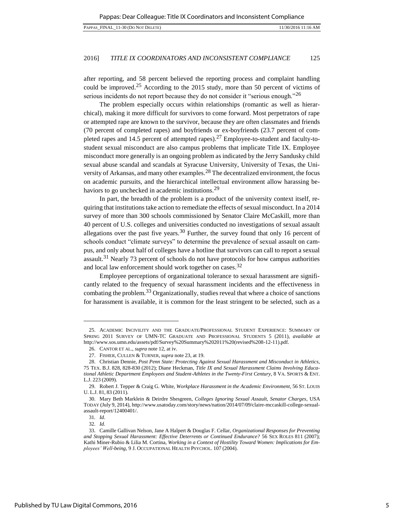after reporting, and 58 percent believed the reporting process and complaint handling could be improved.<sup>25</sup> According to the 2015 study, more than 50 percent of victims of serious incidents do not report because they do not consider it "serious enough."<sup>26</sup>

The problem especially occurs within relationships (romantic as well as hierarchical), making it more difficult for survivors to come forward. Most perpetrators of rape or attempted rape are known to the survivor, because they are often classmates and friends (70 percent of completed rapes) and boyfriends or ex-boyfriends (23.7 percent of completed rapes and 14.5 percent of attempted rapes).<sup>27</sup> Employee-to-student and faculty-tostudent sexual misconduct are also campus problems that implicate Title IX. Employee misconduct more generally is an ongoing problem as indicated by the Jerry Sandusky child sexual abuse scandal and scandals at Syracuse University, University of Texas, the University of Arkansas, and many other examples.<sup>28</sup> The decentralized environment, the focus on academic pursuits, and the hierarchical intellectual environment allow harassing behaviors to go unchecked in academic institutions.<sup>29</sup>

In part, the breadth of the problem is a product of the university context itself, requiring that institutions take action to remediate the effects of sexual misconduct. In a 2014 survey of more than 300 schools commissioned by Senator Claire McCaskill, more than 40 percent of U.S. colleges and universities conducted no investigations of sexual assault allegations over the past five years.<sup>30</sup> Further, the survey found that only 16 percent of schools conduct "climate surveys" to determine the prevalence of sexual assault on campus, and only about half of colleges have a hotline that survivors can call to report a sexual assault.<sup>31</sup> Nearly 73 percent of schools do not have protocols for how campus authorities and local law enforcement should work together on cases.<sup>32</sup>

Employee perceptions of organizational tolerance to sexual harassment are significantly related to the frequency of sexual harassment incidents and the effectiveness in combating the problem.33 Organizationally, studies reveal that where a choice of sanctions for harassment is available, it is common for the least stringent to be selected, such as a

31*. Id.* 

<sup>25.</sup> ACADEMIC INCIVILITY AND THE GRADUATE/PROFESSIONAL STUDENT EXPERIENCE: SUMMARY OF SPRING 2011 SURVEY OF UMN-TC GRADUATE AND PROFESSIONAL STUDENTS 5 (2011), *available at* [http://www.sos.umn.edu/assets/pdf/Survey%20Summary%202011%20\(revised%208-12-11\).pdf.](http://www.sos.umn.edu/assets/pdf/Survey%20Summary%202011%20(revised%208-12-11).pdf) 

<sup>26.</sup> CANTOR ET AL., *supra* note 12, at iv.

<sup>27.</sup> FISHER, CULLEN & TURNER, *supra* note 23, at 19.

<sup>28.</sup> Christian Dennie, *Post Penn State: Protecting Against Sexual Harassment and Misconduct in Athletics*, 75 TEX. B.J. 828, 828-830 (2012); Diane Heckman, *Title IX and Sexual Harassment Claims Involving Educational Athletic Department Employees and Student-Athletes in the Twenty-First Century*, 8 VA. SPORTS & ENT. L.J. 223 (2009).

<sup>29.</sup> Robert J. Tepper & Craig G. White, *Workplace Harassment in the Academic Environment*, 56 ST. LOUIS U. L.J. 81, 83 (2011).

<sup>30.</sup> Mary Beth Marklein & Deirdre Shesgreen, *Colleges Ignoring Sexual Assault, Senator Charges*, USA TODAY (July 9, 2014)[, http://www.usatoday.com/story/news/nation/2014/07/09/claire-mccaskill-college-sexual](http://www.usatoday.com/story/news/nation/2014/07/09/claire-mccaskill-college-sexual-assault-report/12400401/)[assault-report/12400401/.](http://www.usatoday.com/story/news/nation/2014/07/09/claire-mccaskill-college-sexual-assault-report/12400401/) 

<sup>32</sup>*. Id.* 

<sup>33.</sup> Camille Gallivan Nelson, Jane A Halpert & Douglas F. Cellar, *Organizational Responses for Preventing and Stopping Sexual Harassment: Effective Deterrents or Continued Endurance?* 56 SEX ROLES 811 (2007); Kathi Miner-Rubio & Lilia M. Cortina, *Working in a Context of Hostility Toward Women: Implications for Employees' Well-being*, 9 J. OCCUPATIONAL HEALTH PSYCHOL. 107 (2004).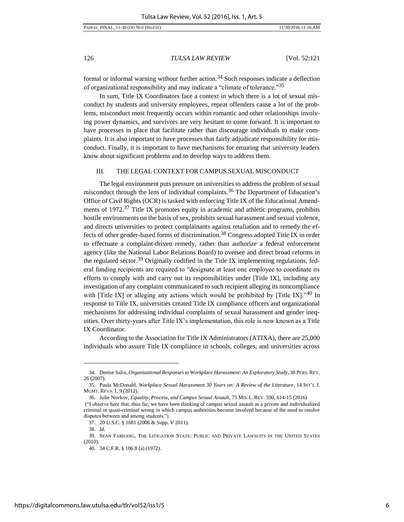formal or informal warning without further action.<sup>34</sup> Such responses indicate a deflection of organizational responsibility and may indicate a "climate of tolerance."<sup>35</sup>

In sum, Title IX Coordinators face a context in which there is a lot of sexual misconduct by students and university employees, repeat offenders cause a lot of the problems, misconduct most frequently occurs within romantic and other relationships involving power dynamics, and survivors are very hesitant to come forward. It is important to have processes in place that facilitate rather than discourage individuals to make complaints. It is also important to have processes that fairly adjudicate responsibility for misconduct. Finally, it is important to have mechanisms for ensuring that university leaders know about significant problems and to develop ways to address them.

# III. THE LEGAL CONTEXT FOR CAMPUS SEXUAL [MISCONDUCT](#page-1-0)

The legal environment puts pressure on universities to address the problem of sexual misconduct through the lens of individual complaints.<sup>36</sup> The Department of Education's Office of Civil Rights (OCR) is tasked with enforcing Title IX of the Educational Amendments of 1972.<sup>37</sup> Title IX promotes equity in academic and athletic programs, prohibits hostile environments on the basis of sex, prohibits sexual harassment and sexual violence, and directs universities to protect complainants against retaliation and to remedy the effects of other gender-based forms of discrimination.38 Congress adopted Title IX in order to effectuate a complaint-driven remedy, rather than authorize a federal enforcement agency (like the National Labor Relations Board) to oversee and direct broad reforms in the regulated sector.<sup>39</sup> Originally codified in the Title IX implementing regulations, federal funding recipients are required to "designate at least one employee to coordinate its efforts to comply with and carry out its responsibilities under [Title IX], including any investigation of any complaint communicated to such recipient alleging its noncompliance with [Title IX] or alleging any actions which would be prohibited by [Title IX].<sup>540</sup> In response to Title IX, universities created Title IX compliance officers and organizational mechanisms for addressing individual complaints of sexual harassment and gender inequities. Over thirty-years after Title IX's implementation, this role is now known as a Title IX Coordinator.

According to the Association for Title IX Administrators (ATIXA), there are 25,000 individuals who assure Title IX compliance in schools, colleges, and universities across

<sup>34.</sup> Denise Salin, *Organizational Responses to Workplace Harassment: An Exploratory Study*, 38 PERS. REV. 26 (2007).

<sup>35.</sup> Paula McDonald, *Workplace Sexual Harassment 30 Years on: A Review of the Literature*, 14 INT'L J. MGMT. REVS. 1, 9 (2012).

<sup>36.</sup> Julie Novkov, *Equality, Process, and Campus Sexual Assault*, 75 MD. L. REV. 590, 614-15 (2016) ("I observe here that, thus far, we have been thinking of campus sexual assault as a private and individualized criminal or quasi-criminal wrong in which campus authorities become involved because of the need to resolve disputes between and among students.").

<sup>37. 20</sup> U.S.C. § 1681 (2006 & Supp. V 2011).

<sup>38</sup>*. Id.* 

<sup>39.</sup> SEAN FARHANG, THE LITIGATION STATE: PUBLIC AND PRIVATE LAWSUITS IN THE UNITED STATES (2010).

<sup>40. 34</sup> C.F.R. § 106.8 (a) (1972).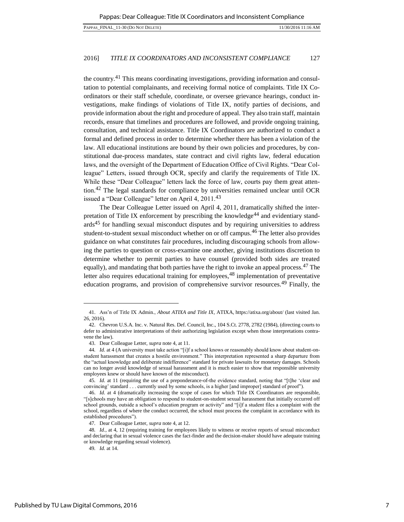the country.41 This means coordinating investigations, providing information and consultation to potential complainants, and receiving formal notice of complaints. Title IX Coordinators or their staff schedule, coordinate, or oversee grievance hearings, conduct investigations, make findings of violations of Title IX, notify parties of decisions, and provide information about the right and procedure of appeal. They also train staff, maintain records, ensure that timelines and procedures are followed, and provide ongoing training, consultation, and technical assistance. Title IX Coordinators are authorized to conduct a formal and defined process in order to determine whether there has been a violation of the law. All educational institutions are bound by their own policies and procedures, by constitutional due-process mandates, state contract and civil rights law, federal education laws, and the oversight of the Department of Education Office of Civil Rights. "Dear Colleague" Letters, issued through OCR, specify and clarify the requirements of Title IX. While these "Dear Colleague" letters lack the force of law, courts pay them great attention.<sup>42</sup> The legal standards for compliance by universities remained unclear until OCR issued a "Dear Colleague" letter on April 4,  $2011<sup>43</sup>$ 

The Dear Colleague Letter issued on April 4, 2011, dramatically shifted the interpretation of Title IX enforcement by prescribing the knowledge<sup>44</sup> and evidentiary stand- $\arcsin 45$  for handling sexual misconduct disputes and by requiring universities to address student-to-student sexual misconduct whether on or off campus.46 The letter also provides guidance on what constitutes fair procedures, including discouraging schools from allowing the parties to question or cross-examine one another, giving institutions discretion to determine whether to permit parties to have counsel (provided both sides are treated equally), and mandating that both parties have the right to invoke an appeal process.<sup>47</sup> The letter also requires educational training for employees,  $48$  implementation of preventative education programs, and provision of comprehensive survivor resources.49 Finally, the

<sup>41.</sup> Ass'n of Title IX Admin., *About ATIXA and Title IX*, ATIXA, <https://atixa.org/about/>(last visited Jan. 26, 2016).

<sup>42.</sup> Chevron U.S.A. Inc. v. Natural Res. Def. Council, Inc., 104 S.Ct. 2778, 2782 (1984), (directing courts to defer to administrative interpretations of their authorizing legislation except when those interpretations contravene the law).

<sup>43.</sup> Dear Colleague Letter, *supra* not[e 4,](#page-2-0) at 11.

<sup>44</sup>*. Id.* at 4 (A university must take action "[i]f a school knows or reasonably should know about student-onstudent harassment that creates a hostile environment." This interpretation represented a sharp departure from the "actual knowledge and deliberate indifference" standard for private lawsuits for monetary damages. Schools can no longer avoid knowledge of sexual harassment and it is much easier to show that responsible university employees knew or should have known of the misconduct).

<sup>45</sup>*. Id.* at 11 (requiring the use of a preponderance-of-the evidence standard, noting that "[t]he 'clear and convincing' standard . . . currently used by some schools, is a higher [and improper] standard of proof").

<sup>46.</sup> *Id.* at 4 (dramatically increasing the scope of cases for which Title IX Coordinators are responsible, "[s]chools may have an obligation to respond to student-on-student sexual harassment that initially occurred off school grounds, outside a school's education program or activity" and "[i]f a student files a complaint with the school, regardless of where the conduct occurred, the school must process the complaint in accordance with its established procedures").

<sup>47</sup>*.* Dear Colleague Letter, *supra* not[e 4,](#page-2-0) at 12.

<sup>48</sup>*. Id.*, at 4, 12 (requiring training for employees likely to witness or receive reports of sexual misconduct and declaring that in sexual violence cases the fact-finder and the decision-maker should have adequate training or knowledge regarding sexual violence).

<sup>49</sup>*. Id.* at 14.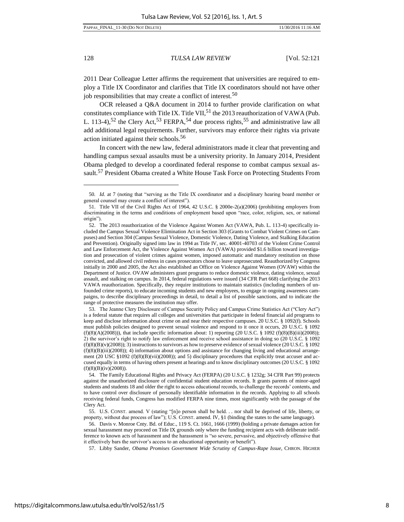l

128 *TULSA LAW REVIEW* [Vol. 52:121

2011 Dear Colleague Letter affirms the requirement that universities are required to employ a Title IX Coordinator and clarifies that Title IX coordinators should not have other job responsibilities that may create a conflict of interest.<sup>50</sup>

OCR released a Q&A document in 2014 to further provide clarification on what constitutes compliance with Title IX. Title VII,  $51$  the 2013 reauthorization of VAWA (Pub. L. 113-4),<sup>52</sup> the Clery Act,<sup>53</sup> FERPA,<sup>54</sup> due process rights,<sup>55</sup> and administrative law all add additional legal requirements. Further, survivors may enforce their rights via private action initiated against their schools.<sup>56</sup>

In concert with the new law, federal administrators made it clear that preventing and handling campus sexual assaults must be a university priority. In January 2014, President Obama pledged to develop a coordinated federal response to combat campus sexual assault.<sup>57</sup> President Obama created a White House Task Force on Protecting Students From

53. The Jeanne Clery Disclosure of Campus Security Policy and Campus Crime Statistics Act ("Clery Act") is a federal statute that requires all colleges and universities that participate in federal financial aid programs to keep and disclose information about crime on and near their respective campuses. 20 U.S.C. § 1092(f). Schools must publish policies designed to prevent sexual violence and respond to it once it occurs, 20 U.S.C. § 1092 (f)(8)(A)(2008))), that include specific information about: 1) reporting (20 U.S.C. § 1092 (f)(8)(B)(iii)(2008)); 2) the survivor's right to notify law enforcement and receive school assistance in doing so (20 U.S.C. § 1092  $(f)(8)(B)(v)(2008)$ ; 3) instructions to survivors as how to preserve evidence of sexual violence (20 U.S.C. § 1092 (f)(8)(B)(iii)(2008)); 4) information about options and assistance for changing living and educational arrangement (20 USC §1092 (f)(8)(B)(vii)(2008)); and 5) disciplinary procedures that explicitly treat accuser and accused equally in terms of having others present at hearings and to know disciplinary outcomes (20 U.S.C. § 1092  $(f)(8)(B)(iv)(2008)).$ 

<sup>50</sup>*. Id.* at 7 (noting that "serving as the Title IX coordinator and a disciplinary hearing board member or general counsel may create a conflict of interest").

<sup>51.</sup> Title VII of the Civil Rights Act of 1964, 42 U.S.C. § 2000e-2(a)(2006) (prohibiting employers from discriminating in the terms and conditions of employment based upon "race, color, religion, sex, or national origin").

<sup>52.</sup> The 2013 reauthorization of the Violence Against Women Act (VAWA, Pub. L. 113-4) specifically included the Campus Sexual Violence Elimination Act in Section 303 (Grants to Combat Violent Crimes on Campuses) and Section 304 (Campus Sexual Violence, Domestic Violence, Dating Violence, and Stalking Education and Prevention). Originally signed into law in 1994 as Title IV, sec. 40001-40703 of the Violent Crime Control and Law Enforcement Act, the Violence Against Women Act (VAWA) provided \$1.6 billion toward investigation and prosecution of violent crimes against women, imposed automatic and mandatory restitution on those convicted, and allowed civil redress in cases prosecutors chose to leave unprosecuted. Reauthorized by Congress initially in 2000 and 2005, the Act also established an Office on Violence Against Women (OVAW) within the Department of Justice. OVAW administers grant programs to reduce domestic violence, dating violence, sexual assault, and stalking on campus. In 2014, federal regulations were issued (34 CFR Part 668) clarifying the 2013 VAWA reauthorization. Specifically, they require institutions to maintain statistics (including numbers of unfounded crime reports), to educate incoming students and new employees, to engage in ongoing awareness campaigns, to describe disciplinary proceedings in detail, to detail a list of possible sanctions, and to indicate the range of protective measures the institution may offer.

<sup>54.</sup> The Family Educational Rights and Privacy Act (FERPA) (20 U.S.C. § 1232g; 34 CFR Part 99) protects against the unauthorized disclosure of confidential student education records. It grants parents of minor-aged students and students 18 and older the right to access educational records, to challenge the records' contents, and to have control over disclosure of personally identifiable information in the records. Applying to all schools receiving federal funds, Congress has modified FERPA nine times, most significantly with the passage of the Clery Act.

<sup>55.</sup> U.S. CONST. amend. V (stating "[n]o person shall be held. . . nor shall be deprived of life, liberty, or property, without due process of law"); U.S. CONST. amend. IV, §1 (binding the states to the same language).

<sup>56.</sup> Davis v. Monroe Cnty. Bd. of Educ., 119 S. Ct. 1661, 1666 (1999) (holding a private damages action for sexual harassment may proceed on Title IX grounds only where the funding recipient acts with deliberate indifference to known acts of harassment and the harassment is "so severe, pervasive, and objectively offensive that it effectively bars the survivor's access to an educational opportunity or benefit").

<sup>57.</sup> Libby Sander, *Obama Promises Government Wide Scrutiny of Campus-Rape Issue*, CHRON. HIGHER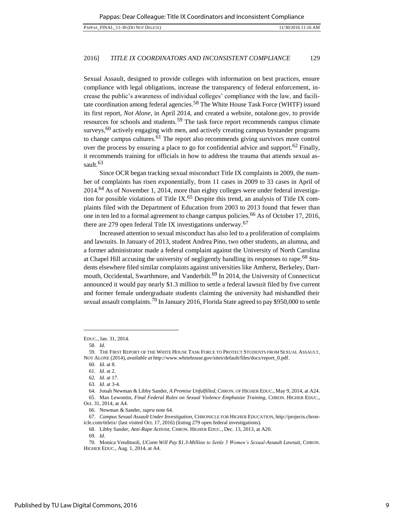Sexual Assault, designed to provide colleges with information on best practices, ensure compliance with legal obligations, increase the transparency of federal enforcement, increase the public's awareness of individual colleges' compliance with the law, and facilitate coordination among federal agencies.<sup>58</sup> The White House Task Force (WHTF) issued its first report, *Not Alone*, in April 2014, and created a website, notalone.gov, to provide resources for schools and students.<sup>59</sup> The task force report recommends campus climate surveys,  $60$  actively engaging with men, and actively creating campus bystander programs to change campus cultures.<sup>61</sup> The report also recommends giving survivors more control over the process by ensuring a place to go for confidential advice and support.<sup>62</sup> Finally, it recommends training for officials in how to address the trauma that attends sexual assault. $63$ 

Since OCR began tracking sexual misconduct Title IX complaints in 2009, the number of complaints has risen exponentially, from 11 cases in 2009 to 33 cases in April of 2014.64 As of November 1, 2014, more than eighty colleges were under federal investigation for possible violations of Title IX.<sup>65</sup> Despite this trend, an analysis of Title IX complaints filed with the Department of Education from 2003 to 2013 found that fewer than one in ten led to a formal agreement to change campus policies.66 As of October 17, 2016, there are 279 open federal Title IX investigations underway.<sup>67</sup>

Increased attention to sexual misconduct has also led to a proliferation of complaints and lawsuits. In January of 2013, student Andrea Pino, two other students, an alumna, and a former administrator made a federal complaint against the University of North Carolina at Chapel Hill accusing the university of negligently handling its responses to rape.68 Students elsewhere filed similar complaints against universities like Amherst, Berkeley, Dartmouth, Occidental, Swarthmore, and Vanderbilt.<sup>69</sup> In 2014, the University of Connecticut announced it would pay nearly \$1.3 million to settle a federal lawsuit filed by five current and former female undergraduate students claiming the university had mishandled their sexual assault complaints.<sup>70</sup> In January 2016, Florida State agreed to pay \$950,000 to settle

EDUC., Jan. 31, 2014.

<sup>58</sup>*. Id.*

<sup>59.</sup> THE FIRST REPORT OF THE WHITE HOUSE TASK FORCE TO PROTECT STUDENTS FROM SEXUAL ASSAULT, NOT ALONE (2014), *available at* [http://www.whitehouse.gov/sites/default/files/docs/report\\_0.pdf.](http://www.whitehouse.gov/sites/default/files/docs/report_0.pdf)

<sup>60</sup>*. Id.* at 8.

<sup>61</sup>*. Id.* at 2.

<sup>62</sup>*. Id.* at 17.

<sup>63</sup>*. Id.* at 3-4.

<sup>64.</sup> Jonah Newman & Libby Sander, *A Promise Unfulfilled*, CHRON. OF HIGHER EDUC., May 9, 2014, at A24.

<sup>65.</sup> Max Lewontin, *Final Federal Rules on Sexual Violence Emphasize Training*, CHRON. HIGHER EDUC., Oct. 31, 2014, at A4.

<sup>66.</sup> Newman & Sander, *supra* note 64.

<sup>67.</sup> *Campus Sexual Assault Under Investigation,* CHRONICLE FOR HIGHER EDUCATION, [http://projects.chron](http://projects.chronicle.com/titleix/)[icle.com/titleix/ \(](http://projects.chronicle.com/titleix/)last visited Oct. 17, 2016) (listing 279 open federal investigations).

<sup>68.</sup> Libby Sander, *Anti-Rape Activist*, CHRON. HIGHER EDUC., Dec. 13, 2013, at A20.

<sup>69</sup>*. Id.* 

<sup>70.</sup> Monica Vendituoli, *UConn Will Pay \$1.3-Million to Settle 5 Women's Sexual-Assault Lawsuit*, CHRON. HIGHER EDUC., Aug. 1, 2014, at A4.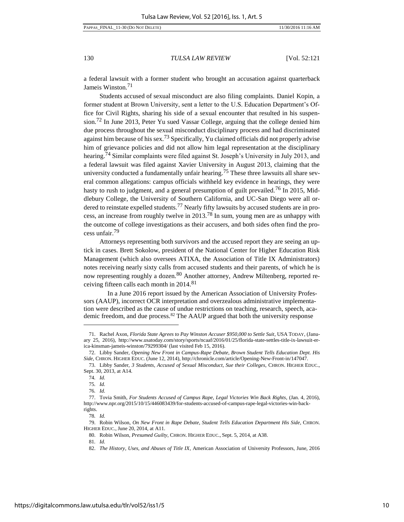a federal lawsuit with a former student who brought an accusation against quarterback Jameis Winston.<sup>71</sup>

Students accused of sexual misconduct are also filing complaints. Daniel Kopin, a former student at Brown University, sent a letter to the U.S. Education Department's Office for Civil Rights, sharing his side of a sexual encounter that resulted in his suspension.<sup>72</sup> In June 2013, Peter Yu sued Vassar College, arguing that the college denied him due process throughout the sexual misconduct disciplinary process and had discriminated against him because of his sex.<sup>73</sup> Specifically, Yu claimed officials did not properly advise him of grievance policies and did not allow him legal representation at the disciplinary hearing.<sup>74</sup> Similar complaints were filed against St. Joseph's University in July 2013, and a federal lawsuit was filed against Xavier University in August 2013, claiming that the university conducted a fundamentally unfair hearing.<sup>75</sup> These three lawsuits all share several common allegations: campus officials withheld key evidence in hearings, they were hasty to rush to judgment, and a general presumption of guilt prevailed.<sup>76</sup> In 2015, Middlebury College, the University of Southern California, and UC-San Diego were all ordered to reinstate expelled students.<sup>77</sup> Nearly fifty lawsuits by accused students are in process, an increase from roughly twelve in 2013.78 In sum, young men are as unhappy with the outcome of college investigations as their accusers, and both sides often find the process unfair.<sup>79</sup>

Attorneys representing both survivors and the accused report they are seeing an uptick in cases. Brett Sokolow, president of the National Center for Higher Education Risk Management (which also oversees ATIXA, the Association of Title IX Administrators) notes receiving nearly sixty calls from accused students and their parents, of which he is now representing roughly a dozen.<sup>80</sup> Another attorney, Andrew Miltenberg, reported receiving fifteen calls each month in 2014.<sup>81</sup>

In a June 2016 report issued by the American Association of University Professors (AAUP), incorrect OCR interpretation and overzealous administrative implementation were described as the cause of undue restrictions on teaching, research, speech, academic freedom, and due process.<sup>82</sup> The AAUP argued that both the university response

<sup>71.</sup> Rachel Axon, *Florida State Agrees to Pay Winston Accuser \$950,000 to Settle Suit*, USA TODAY, (January 25, 2016), [http://www.usatoday.com/story/sports/ncaaf/2016/01/25/florida-state-settles-title-ix-lawsuit-er](http://www.usatoday.com/story/sports/ncaaf/2016/01/25/florida-state-settles-title-ix-lawsuit-erica-kinsman-jameis-winston/79299304/)[ica-kinsman-jameis-winston/79299304/](http://www.usatoday.com/story/sports/ncaaf/2016/01/25/florida-state-settles-title-ix-lawsuit-erica-kinsman-jameis-winston/79299304/) (last visited Feb 15, 2016).

<sup>72.</sup> Libby Sander, *Opening New Front in Campus-Rape Debate, Brown Student Tells Education Dept. His Side*, CHRON. HIGHER EDUC. (June 12, 2014), http://chronicle.com/article/Opening-New-Front-in/147047.

<sup>73.</sup> Libby Sander, *3 Students, Accused of Sexual Misconduct, Sue their Colleges*, CHRON. HIGHER EDUC., Sept. 30, 2013, at A14.

<sup>74</sup>*. Id.* 

<sup>75</sup>*. Id.*

<sup>76</sup>*. Id.* 

<sup>77.</sup> Tovia Smith, *For Students Accused of Campus Rape, Legal Victories Win Back Rights*, (Jan. 4, 2016), [http://www.npr.org/2015/10/15/446083439/for-students-accused-of-campus-rape-legal-victories-win-back](http://www.npr.org/2015/10/15/446083439/for-students-accused-of-campus-rape-legal-victories-win-back-rights)[rights.](http://www.npr.org/2015/10/15/446083439/for-students-accused-of-campus-rape-legal-victories-win-back-rights)

<sup>78</sup>*. Id.* 

<sup>79.</sup> Robin Wilson, *On New Front in Rape Debate, Student Tells Education Department His Side*, CHRON. HIGHER EDUC., June 20, 2014, at A11.

<sup>80.</sup> Robin Wilson, *Presumed Guilty*, CHRON. HIGHER EDUC., Sept. 5, 2014, at A38.

<sup>81</sup>*. Id.* 

<sup>82.</sup> *The History, Uses, and Abuses of Title IX*, American Association of University Professors, June, 2016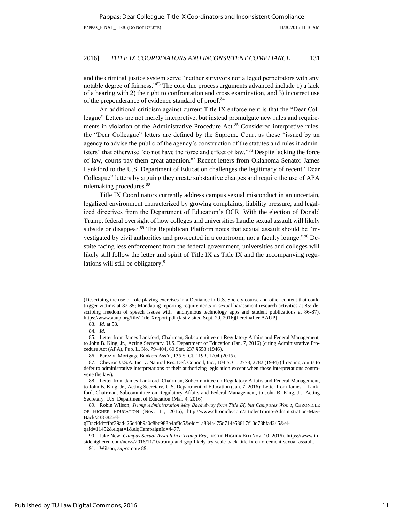and the criminal justice system serve "neither survivors nor alleged perpetrators with any notable degree of fairness."<sup>83</sup> The core due process arguments advanced include 1) a lack of a hearing with 2) the right to confrontation and cross examination, and 3) incorrect use of the preponderance of evidence standard of proof.<sup>84</sup>

An additional criticism against current Title IX enforcement is that the "Dear Colleague" Letters are not merely interpretive, but instead promulgate new rules and requirements in violation of the Administrative Procedure Act.<sup>85</sup> Considered interpretive rules, the "Dear Colleague" letters are defined by the Supreme Court as those "issued by an agency to advise the public of the agency's construction of the statutes and rules it administers" that otherwise "do not have the force and effect of law."<sup>86</sup> Despite lacking the force of law, courts pay them great attention. $87$  Recent letters from Oklahoma Senator James Lankford to the U.S. Department of Education challenges the legitimacy of recent "Dear Colleague" letters by arguing they create substantive changes and require the use of APA rulemaking procedures.<sup>88</sup>

Title IX Coordinators currently address campus sexual misconduct in an uncertain, legalized environment characterized by growing complaints, liability pressure, and legalized directives from the Department of Education's OCR. With the election of Donald Trump, federal oversight of how colleges and universities handle sexual assault will likely subside or disappear.<sup>89</sup> The Republican Platform notes that sexual assault should be "investigated by civil authorities and prosecuted in a courtroom, not a faculty lounge."<sup>90</sup> Despite facing less enforcement from the federal government, universities and colleges will likely still follow the letter and spirit of Title IX as Title IX and the accompanying regulations will still be obligatory.<sup>91</sup>

<sup>(</sup>Describing the use of role playing exercises in a Deviance in U.S. Society course and other content that could trigger victims at 82-85; Mandating reporting requirements in sexual harassment research activities at 85; describing freedom of speech issues with anonymous technology apps and student publications at 86-87), https://www.aaup.org/file/TitleIXreport.pdf (last visited Sept. 29, 2016)[hereinafter AAUP]

<sup>83.</sup> *Id.* at 58.

<sup>84.</sup> *Id*.

<sup>85.</sup> Letter from James Lankford, Chairman, Subcommittee on Regulatory Affairs and Federal Management, to John B. King, Jr., Acting Secretary, U.S. Department of Education (Jan. 7, 2016) (citing Administrative Procedure Act (APA), Pub. L. No. 79–404, 60 Stat. 237 §553 (1946).

<sup>86.</sup> Perez v. Mortgage Bankers Ass'n, 135 S. Ct. 1199, 1204 (2015).

<sup>87.</sup> Chevron U.S.A. Inc. v. Natural Res. Def. Council, Inc., 104 S. Ct. 2778, 2782 (1984) (directing courts to defer to administrative interpretations of their authorizing legislation except when those interpretations contravene the law).

<sup>88.</sup> Letter from James Lankford, Chairman, Subcommittee on Regulatory Affairs and Federal Management, to John B. King, Jr., Acting Secretary, U.S. Department of Education (Jan. 7, 2016); Letter from James Lankford, Chairman, Subcommittee on Regulatory Affairs and Federal Management, to John B. King, Jr., Acting Secretary, U.S. Department of Education (Mar. 4, 2016).

<sup>89.</sup> Robin Wilson, *Trump Administration May Back Away form Title IX, but Campuses Won't*, CHRONICLE OF HIGHER EDUCATION (Nov. 11, 2016), http://www.chronicle.com/article/Trump-Administration-May-Back/238382?el-

qTrackId=ffbf39ad426d40b9a0c8bc988b4af3c5&elq=1a834a475d714e53817f10d78bfa4245&elqaid=11452&elqat=1&elqCampaignId=4477.

<sup>90.</sup> Jake New, *Campus Sexual Assault in a Trump Era*, INSIDE HIGHER ED (Nov. 10, 2016), https://www.insidehighered.com/news/2016/11/10/trump-and-gop-likely-try-scale-back-title-ix-enforcement-sexual-assault.

<sup>91.</sup> Wilson, *supra* note 89.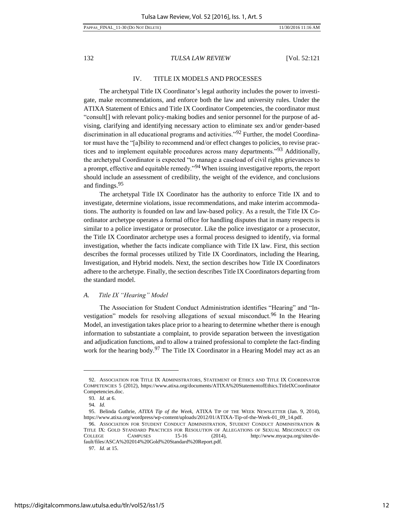# IV. TITLE IX MODELS AND [PROCESSES](#page-1-0)

The archetypal Title IX Coordinator's legal authority includes the power to investigate, make recommendations, and enforce both the law and university rules. Under the ATIXA Statement of Ethics and Title IX Coordinator Competencies, the coordinator must "consult[] with relevant policy-making bodies and senior personnel for the purpose of advising, clarifying and identifying necessary action to eliminate sex and/or gender-based discrimination in all educational programs and activities."92 Further, the model Coordinator must have the "[a]bility to recommend and/or effect changes to policies, to revise practices and to implement equitable procedures across many departments."<sup>93</sup> Additionally, the archetypal Coordinator is expected "to manage a caseload of civil rights grievances to a prompt, effective and equitable remedy."94 When issuing investigative reports, the report should include an assessment of credibility, the weight of the evidence, and conclusions and findings.<sup>95</sup>

The archetypal Title IX Coordinator has the authority to enforce Title IX and to investigate, determine violations, issue recommendations, and make interim accommodations. The authority is founded on law and law-based policy. As a result, the Title IX Coordinator archetype operates a formal office for handling disputes that in many respects is similar to a police investigator or prosecutor. Like the police investigator or a prosecutor, the Title IX Coordinator archetype uses a formal process designed to identify, via formal investigation, whether the facts indicate compliance with Title IX law. First, this section describes the formal processes utilized by Title IX Coordinators, including the Hearing, Investigation, and Hybrid models. Next, the section describes how Title IX Coordinators adhere to the archetype. Finally, the section describes Title IX Coordinators departing from the standard model.

#### *A. Title IX "Hearing" Model*

The Association for Student Conduct Administration identifies "Hearing" and "Investigation" models for resolving allegations of sexual misconduct.<sup>96</sup> In the Hearing Model, an investigation takes place prior to a hearing to determine whether there is enough information to substantiate a complaint, to provide separation between the investigation and adjudication functions, and to allow a trained professional to complete the fact-finding work for the hearing body.<sup>97</sup> The Title IX Coordinator in a Hearing Model may act as an

<sup>92.</sup> ASSOCIATION FOR TITLE IX ADMINISTRATORS, STATEMENT OF ETHICS AND TITLE IX COORDINATOR COMPETENCIES 5 (2012), https://www.atixa.org/documents/ATIXA%20StatementofEthics.TitleIXCoordinator Competencies.doc.

<sup>93</sup>*. Id.* at 6.

<sup>94</sup>*. Id.* 

<sup>95.</sup> Belinda Guthrie, *ATIXA Tip of the Week*, ATIXA TIP OF THE WEEK NEWSLETTER (Jan. 9, 2014), [https://www.atixa.org/wordpress/wp-content/uploads/2012/01/ATIXA-Tip-of-the-Week-01\\_09\\_14.pdf.](https://www.atixa.org/wordpress/wp-content/uploads/2012/01/ATIXA-Tip-of-the-Week-01_09_14.pdf) 

<sup>96.</sup> ASSOCIATION FOR STUDENT CONDUCT ADMINISTRATION, STUDENT CONDUCT ADMINISTRATION & TITLE IX: GOLD STANDARD PRACTICES FOR RESOLUTION OF ALLEGATIONS OF SEXUAL MISCONDUCT ON COLLEGE CAMPUSES 15-16 (2014), http://www.myacpa.org/sites/default/files/ASCA%202014%20Gold%20Standard%20Report.pdf.

<sup>97</sup>*. Id.* at 15.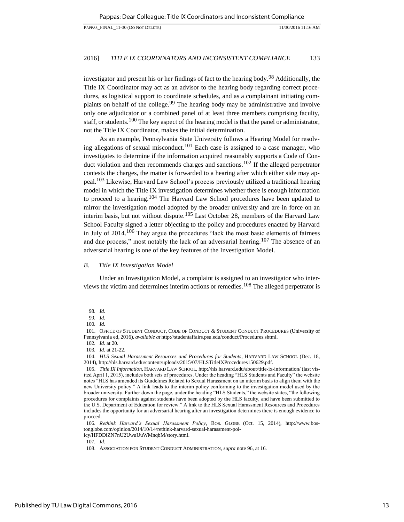investigator and present his or her findings of fact to the hearing body.98 Additionally, the Title IX Coordinator may act as an advisor to the hearing body regarding correct procedures, as logistical support to coordinate schedules, and as a complainant initiating complaints on behalf of the college.<sup>99</sup> The hearing body may be administrative and involve only one adjudicator or a combined panel of at least three members comprising faculty, staff, or students.100 The key aspect of the hearing model is that the panel or administrator, not the Title IX Coordinator, makes the initial determination.

As an example, Pennsylvania State University follows a Hearing Model for resolving allegations of sexual misconduct.<sup>101</sup> Each case is assigned to a case manager, who investigates to determine if the information acquired reasonably supports a Code of Conduct violation and then recommends charges and sanctions.<sup>102</sup> If the alleged perpetrator contests the charges, the matter is forwarded to a hearing after which either side may appeal.<sup>103</sup> Likewise, Harvard Law School's process previously utilized a traditional hearing model in which the Title IX investigation determines whether there is enough information to proceed to a hearing.104 The Harvard Law School procedures have been updated to mirror the investigation model adopted by the broader university and are in force on an interim basis, but not without dispute.<sup>105</sup> Last October 28, members of the Harvard Law School Faculty signed a letter objecting to the policy and procedures enacted by Harvard in July of 2014.<sup>106</sup> They argue the procedures "lack the most basic elements of fairness and due process," most notably the lack of an adversarial hearing.<sup>107</sup> The absence of an adversarial hearing is one of the key features of the Investigation Model.

#### *B. Title IX Investigation Model*

Under an Investigation Model, a complaint is assigned to an investigator who interviews the victim and determines interim actions or remedies.108 The alleged perpetrator is

<sup>98</sup>*. Id.* 

<sup>99</sup>*. Id.* 

<sup>100</sup>*. Id.* 

<sup>101.</sup> OFFICE OF STUDENT CONDUCT, CODE OF CONDUCT & STUDENT CONDUCT PROCEDURES (University of Pennsylvania ed, 2016), *available at* http://studentaffairs.psu.edu/conduct/Procedures.shtml.

<sup>102</sup>*. Id.* at 20.

<sup>103</sup>*. Id.* at 21-22.

<sup>104.</sup> *HLS Sexual Harassment Resources and Procedures for Students*, HARVARD LAW SCHOOL (Dec. 18, 2014), http://hls.harvard.edu/content/uploads/2015/07/HLSTitleIXProcedures150629.pdf.

<sup>105.</sup> *Title IX Information*, HARVARD LAW SCHOOL, http://hls.harvard.edu/about/title-ix-information/ (last visited April 1, 2015), includes both sets of procedures. Under the heading "HLS Students and Faculty" the website notes "HLS has amended its Guidelines Related to Sexual Harassment on an interim basis to align them with the new University policy." A link leads to the interim policy conforming to the investigation model used by the broader university. Further down the page, under the heading "HLS Students," the website states, "the following procedures for complaints against students have been adopted by the HLS faculty, and have been submitted to the U.S. Department of Education for review." A link to the HLS Sexual Harassment Resources and Procedures includes the opportunity for an adversarial hearing after an investigation determines there is enough evidence to proceed.

<sup>106</sup>*. Rethink Harvard's Sexual Harassment Policy*, BOS. GLOBE (Oct. 15, 2014), [http://www.bos](http://www.bostonglobe.com/opinion/2014/10/14/rethink-harvard-sexual-harassment-policy/HFDDiZN7nU2UwuUuWMnqbM/story.html)[tonglobe.com/opinion/2014/10/14/rethink-harvard-sexual-harassment-pol-](http://www.bostonglobe.com/opinion/2014/10/14/rethink-harvard-sexual-harassment-policy/HFDDiZN7nU2UwuUuWMnqbM/story.html)

[icy/HFDDiZN7nU2UwuUuWMnqbM/story.html.](http://www.bostonglobe.com/opinion/2014/10/14/rethink-harvard-sexual-harassment-policy/HFDDiZN7nU2UwuUuWMnqbM/story.html) 

<sup>107</sup>*. Id.* 

<sup>108.</sup> ASSOCIATION FOR STUDENT CONDUCT ADMINISTRATION, *supra* note 96, at 16.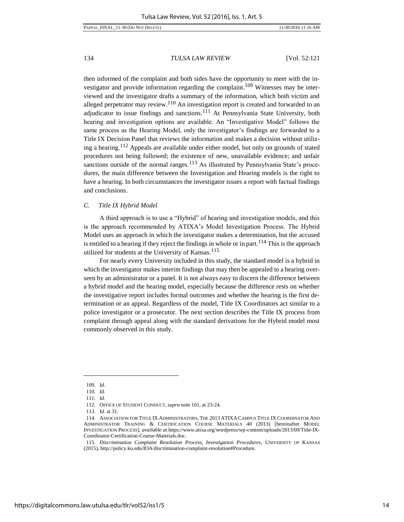then informed of the complaint and both sides have the opportunity to meet with the investigator and provide information regarding the complaint.<sup>109</sup> Witnesses may be interviewed and the investigator drafts a summary of the information, which both victim and alleged perpetrator may review.<sup>110</sup> An investigation report is created and forwarded to an adjudicator to issue findings and sanctions.<sup>111</sup> At Pennsylvania State University, both hearing and investigation options are available. An "Investigative Model" follows the same process as the Hearing Model, only the investigator's findings are forwarded to a Title IX Decision Panel that reviews the information and makes a decision without utilizing a hearing.112 Appeals are available under either model, but only on grounds of stated procedures not being followed; the existence of new, unavailable evidence; and unfair sanctions outside of the normal ranges.<sup>113</sup> As illustrated by Pennsylvania State's procedures, the main difference between the Investigation and Hearing models is the right to have a hearing. In both circumstances the investigator issues a report with factual findings and conclusions.

# *C. Title IX Hybrid Model*

A third approach is to use a "Hybrid" of hearing and investigation models, and this is the approach recommended by ATIXA's Model Investigation Process. The Hybrid Model uses an approach in which the investigator makes a determination, but the accused is entitled to a hearing if they reject the findings in whole or in part.<sup>114</sup> This is the approach utilized for students at the University of Kansas.<sup>115</sup>

<span id="page-14-0"></span>For nearly every University included in this study, the standard model is a hybrid in which the investigator makes interim findings that may then be appealed to a hearing overseen by an administrator or a panel. It is not always easy to discern the difference between a hybrid model and the hearing model, especially because the difference rests on whether the investigative report includes formal outcomes and whether the hearing is the first determination or an appeal. Regardless of the model, Title IX Coordinators act similar to a police investigator or a prosecutor. The next section describes the Title IX process from complaint through appeal along with the standard derivations for the Hybrid model most commonly observed in this study.

<sup>109</sup>*. Id.* 

<sup>110</sup>*. Id.* 

<sup>111</sup>*. Id.* 

<sup>112.</sup> OFFICE OF STUDENT CONDUCT, *supra* note 101, at 23-24.

<sup>113</sup>*. Id.* at 31.

<sup>114.</sup> ASSOCIATION FOR TITLE IX ADMINISTRATORS, THE 2013 ATIXA CAMPUS TITLE IX COORDINATOR AND ADMINISTRATOR TRAINING & CERTIFICATION COURSE MATERIALS 40 (2013) [hereinafter MODEL INVESTIGATION PROCESS], *available at* [https://www.atixa.org/wordpress/wp-content/uploads/2013/09/Title-IX-](https://www.atixa.org/wordpress/wp-content/uploads/2013/09/Title-IX-Coordinator-Certification-Course-Materials.doc)[Coordinator-Certification-Course-Materials.doc.](https://www.atixa.org/wordpress/wp-content/uploads/2013/09/Title-IX-Coordinator-Certification-Course-Materials.doc) 

<sup>115.</sup> *Discrimination Complaint Resolution Process, Investigation Procedures*, UNIVERSITY OF KANSAS (2015)[, http://policy.ku.edu/IOA/discrimination-complaint-resolution#Procedure.](http://policy.ku.edu/IOA/discrimination-complaint-resolution#Procedure)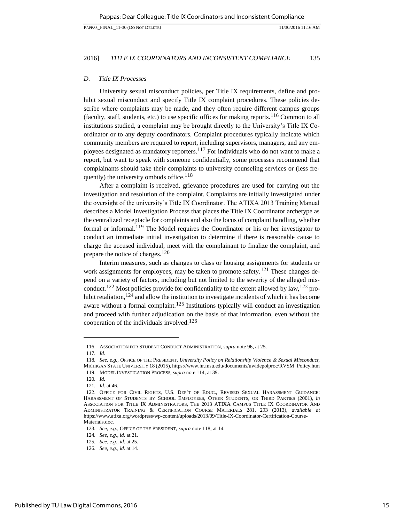## *D. Title IX Processes*

University sexual misconduct policies, per Title IX requirements, define and prohibit sexual misconduct and specify Title IX complaint procedures. These policies describe where complaints may be made, and they often require different campus groups (faculty, staff, students, etc.) to use specific offices for making reports.<sup>116</sup> Common to all institutions studied, a complaint may be brought directly to the University's Title IX Coordinator or to any deputy coordinators. Complaint procedures typically indicate which community members are required to report, including supervisors, managers, and any employees designated as mandatory reporters.<sup>117</sup> For individuals who do not want to make a report, but want to speak with someone confidentially, some processes recommend that complainants should take their complaints to university counseling services or (less frequently) the university ombuds office.<sup>118</sup>

After a complaint is received, grievance procedures are used for carrying out the investigation and resolution of the complaint. Complaints are initially investigated under the oversight of the university's Title IX Coordinator. The ATIXA 2013 Training Manual describes a Model Investigation Process that places the Title IX Coordinator archetype as the centralized receptacle for complaints and also the locus of complaint handling, whether formal or informal.<sup>119</sup> The Model requires the Coordinator or his or her investigator to conduct an immediate initial investigation to determine if there is reasonable cause to charge the accused individual, meet with the complainant to finalize the complaint, and prepare the notice of charges.<sup>120</sup>

Interim measures, such as changes to class or housing assignments for students or work assignments for employees, may be taken to promote safety.<sup>121</sup> These changes depend on a variety of factors, including but not limited to the severity of the alleged misconduct.<sup>122</sup> Most policies provide for confidentiality to the extent allowed by law,<sup>123</sup> prohibit retaliation,  $124$  and allow the institution to investigate incidents of which it has become aware without a formal complaint.<sup>125</sup> Institutions typically will conduct an investigation and proceed with further adjudication on the basis of that information, even without the cooperation of the individuals involved.<sup>126</sup>

<sup>116.</sup> ASSOCIATION FOR STUDENT CONDUCT ADMINISTRATION, *supra* note 96, at 25.

<sup>117</sup>*. Id.* 

<sup>118</sup>*. See*, *e.g.*, OFFICE OF THE PRESIDENT, *University Policy on Relationship Violence & Sexual Misconduct,*  MICHIGAN STATE UNIVERSITY 18 (2015), https://www.hr.msu.edu/documents/uwidepolproc/RVSM\_Policy.htm 119. MODEL INVESTIGATION PROCESS, *supra* note 114, at 39.

<sup>120</sup>*. Id.* 

<sup>121</sup>*. Id.* at 46.

<sup>122.</sup> OFFICE FOR CIVIL RIGHTS, U.S. DEP'T OF EDUC., REVISED SEXUAL HARASSMENT GUIDANCE: HARASSMENT OF STUDENTS BY SCHOOL EMPLOYEES, OTHER STUDENTS, OR THIRD PARTIES (2001), *in* ASSOCIATION FOR TITLE IX ADMINISTRATORS, THE 2013 ATIXA CAMPUS TITLE IX COORDINATOR AND ADMINISTRATOR TRAINING & CERTIFICATION COURSE MATERIALS 281, 293 (2013), *available at* [https://www.atixa.org/wordpress/wp-content/uploads/2013/09/Title-IX-Coordinator-Certification-Course-](https://www.atixa.org/wordpress/wp-content/uploads/2013/09/Title-IX-Coordinator-Certification-Course-Materials.doc)[Materials.doc.](https://www.atixa.org/wordpress/wp-content/uploads/2013/09/Title-IX-Coordinator-Certification-Course-Materials.doc) 

<sup>123</sup>*. See*, *e.g.*, OFFICE OF THE PRESIDENT, *supra* note 118, at 14.

<sup>124</sup>*. See*, *e.g.*, *id.* at 21.

<sup>125</sup>*. See*, *e.g.*, *id.* at 25.

<sup>126</sup>*. See*, *e.g.*, *id.* at 14.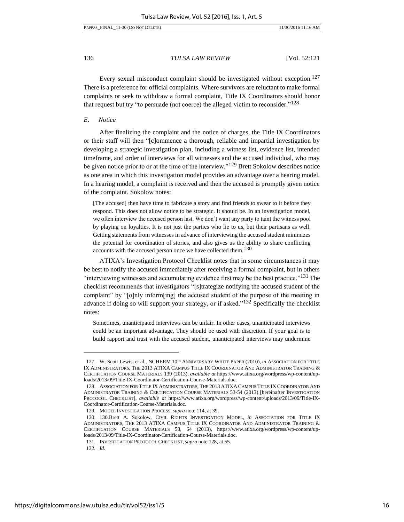#### PAPPAS\_FINAL\_11-30 (DO NOT DELETE) 11/30/2016 11:16 AM

136 *TULSA LAW REVIEW* [Vol. 52:121

Every sexual misconduct complaint should be investigated without exception.<sup>127</sup> There is a preference for official complaints. Where survivors are reluctant to make formal complaints or seek to withdraw a formal complaint, Title IX Coordinators should honor that request but try "to persuade (not coerce) the alleged victim to reconsider."<sup>128</sup>

# *E. Notice*

After finalizing the complaint and the notice of charges, the Title IX Coordinators or their staff will then "[c]ommence a thorough, reliable and impartial investigation by developing a strategic investigation plan, including a witness list, evidence list, intended timeframe, and order of interviews for all witnesses and the accused individual, who may be given notice prior to or at the time of the interview."<sup>129</sup> Brett Sokolow describes notice as one area in which this investigation model provides an advantage over a hearing model. In a hearing model, a complaint is received and then the accused is promptly given notice of the complaint. Sokolow notes:

[The accused] then have time to fabricate a story and find friends to swear to it before they respond. This does not allow notice to be strategic. It should be. In an investigation model, we often interview the accused person last. We don't want any party to taint the witness pool by playing on loyalties. It is not just the parties who lie to us, but their partisans as well. Getting statements from witnesses in advance of interviewing the accused student minimizes the potential for coordination of stories, and also gives us the ability to share conflicting accounts with the accused person once we have collected them.<sup>130</sup>

ATIXA's Investigation Protocol Checklist notes that in some circumstances it may be best to notify the accused immediately after receiving a formal complaint, but in others "interviewing witnesses and accumulating evidence first may be the best practice."131 The checklist recommends that investigators "[s]trategize notifying the accused student of the complaint" by "[o]nly inform[ing] the accused student of the purpose of the meeting in advance if doing so will support your strategy, or if asked."<sup>132</sup> Specifically the checklist notes:

Sometimes, unanticipated interviews can be unfair. In other cases, unanticipated interviews could be an important advantage. They should be used with discretion. If your goal is to build rapport and trust with the accused student, unanticipated interviews may undermine

<sup>127.</sup> W. Scott Lewis, et al., NCHERM  $10^{TH}$  ANNIVERSARY WHITE PAPER (2010), *in* ASSOCIATION FOR TITLE IX ADMINISTRATORS, THE 2013 ATIXA CAMPUS TITLE IX COORDINATOR AND ADMINISTRATOR TRAINING & CERTIFICATION COURSE MATERIALS 139 (2013), *available at* [https://www.atixa.org/wordpress/wp-content/up](https://www.atixa.org/wordpress/wp-content/uploads/2013/09/Title-IX-Coordinator-Certification-Course-Materials.doc)[loads/2013/09/Title-IX-Coordinator-Certification-Course-Materials.doc.](https://www.atixa.org/wordpress/wp-content/uploads/2013/09/Title-IX-Coordinator-Certification-Course-Materials.doc) 

<sup>128.</sup> ASSOCIATION FOR TITLE IX ADMINISTRATORS, THE 2013 ATIXA CAMPUS TITLE IX COORDINATOR AND ADMINISTRATOR TRAINING & CERTIFICATION COURSE MATERIALS 53-54 (2013) [hereinafter INVESTIGATION PROTOCOL CHECKLIST], *available at* [https://www.atixa.org/wordpress/wp-content/uploads/2013/09/Title-IX-](https://www.atixa.org/wordpress/wp-content/uploads/2013/09/Title-IX-Coordinator-Certification-Course-Materials.doc)[Coordinator-Certification-Course-Materials.doc.](https://www.atixa.org/wordpress/wp-content/uploads/2013/09/Title-IX-Coordinator-Certification-Course-Materials.doc) 

<sup>129.</sup> MODEL INVESTIGATION PROCESS, *supra* note 114, at 39.

<sup>130. 130.</sup>Brett A. Sokolow, CIVIL RIGHTS INVESTIGATION MODEL, *in* ASSOCIATION FOR TITLE IX ADMINISTRATORS, THE 2013 ATIXA CAMPUS TITLE IX COORDINATOR AND ADMINISTRATOR TRAINING & CERTIFICATION COURSE MATERIALS 58, 64 (2013), [https://www.atixa.org/wordpress/wp-content/up](https://www.atixa.org/wordpress/wp-content/uploads/2013/09/Title-IX-Coordinator-Certification-Course-Materials.doc)[loads/2013/09/Title-IX-Coordinator-Certification-Course-Materials.doc.](https://www.atixa.org/wordpress/wp-content/uploads/2013/09/Title-IX-Coordinator-Certification-Course-Materials.doc) 

<sup>131.</sup> INVESTIGATION PROTOCOL CHECKLIST, *supra* note 128, at 55.

<sup>132</sup>*. Id.*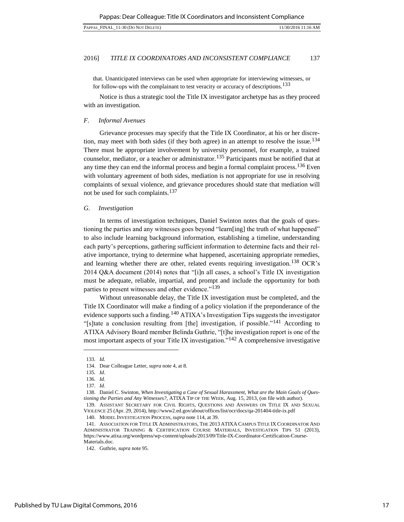that. Unanticipated interviews can be used when appropriate for interviewing witnesses, or for follow-ups with the complainant to test veracity or accuracy of descriptions.<sup>133</sup>

Notice is thus a strategic tool the Title IX investigator archetype has as they proceed with an investigation.

# *F. Informal Avenues*

Grievance processes may specify that the Title IX Coordinator, at his or her discretion, may meet with both sides (if they both agree) in an attempt to resolve the issue.<sup>134</sup> There must be appropriate involvement by university personnel, for example, a trained counselor, mediator, or a teacher or administrator.<sup>135</sup> Participants must be notified that at any time they can end the informal process and begin a formal complaint process.<sup>136</sup> Even with voluntary agreement of both sides, mediation is not appropriate for use in resolving complaints of sexual violence, and grievance procedures should state that mediation will not be used for such complaints.<sup>137</sup>

# *G. Investigation*

In terms of investigation techniques, Daniel Swinton notes that the goals of questioning the parties and any witnesses goes beyond "learn[ing] the truth of what happened" to also include learning background information, establishing a timeline, understanding each party's perceptions, gathering sufficient information to determine facts and their relative importance, trying to determine what happened, ascertaining appropriate remedies, and learning whether there are other, related events requiring investigation.<sup>138</sup> OCR's 2014 Q&A document (2014) notes that "[i]n all cases, a school's Title IX investigation must be adequate, reliable, impartial, and prompt and include the opportunity for both parties to present witnesses and other evidence."<sup>139</sup>

Without unreasonable delay, the Title IX investigation must be completed, and the Title IX Coordinator will make a finding of a policy violation if the preponderance of the evidence supports such a finding.<sup>140</sup> ATIXA's Investigation Tips suggests the investigator "[s]tate a conclusion resulting from [the] investigation, if possible."141 According to ATIXA Advisory Board member Belinda Guthrie, "[t]he investigation report is one of the most important aspects of your Title IX investigation."<sup>142</sup> A comprehensive investigative

<sup>133</sup>*. Id.* 

<sup>134.</sup> Dear Colleague Letter, *supra* not[e 4,](#page-2-0) at 8.

<sup>135</sup>*. Id.* 

<sup>136</sup>*. Id.* 

<sup>137</sup>*. Id.* 

<sup>138.</sup> Daniel C. Swinton, *When Investigating a Case of Sexual Harassment, What are the Main Goals of Questioning the Parties and Any Witnesses?*, ATIXA TIP OF THE WEEK, Aug. 15, 2013, (on file with author). 139. ASSISTANT SECRETARY FOR CIVIL RIGHTS, QUESTIONS AND ANSWERS ON TITLE IX AND SEXUAL

VIOLENCE 25 (Apr. 29, 2014), http://www2.ed.gov/about/offices/list/ocr/docs/qa-201404-title-ix.pdf

<sup>140.</sup> MODEL INVESTIGATION PROCESS, *supra* note 114, at 39.

<sup>141.</sup> ASSOCIATION FOR TITLE IX ADMINISTRATORS, THE 2013 ATIXA CAMPUS TITLE IX COORDINATOR AND ADMINISTRATOR TRAINING & CERTIFICATION COURSE MATERIALS, INVESTIGATION TIPS 51 (2013), [https://www.atixa.org/wordpress/wp-content/uploads/2013/09/Title-IX-Coordinator-Certification-Course-](https://www.atixa.org/wordpress/wp-content/uploads/2013/09/Title-IX-Coordinator-Certification-Course-Materials.doc)[Materials.doc.](https://www.atixa.org/wordpress/wp-content/uploads/2013/09/Title-IX-Coordinator-Certification-Course-Materials.doc) 

<sup>142.</sup> Guthrie, *supra* note 95.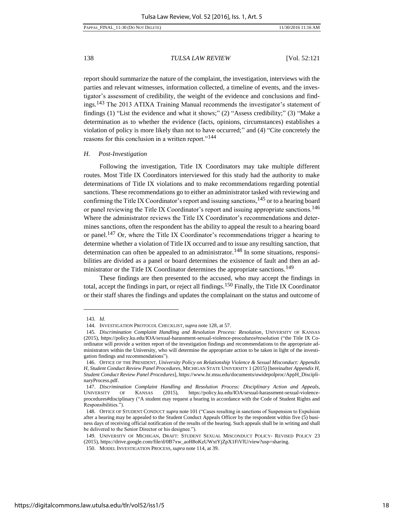report should summarize the nature of the complaint, the investigation, interviews with the parties and relevant witnesses, information collected, a timeline of events, and the investigator's assessment of credibility, the weight of the evidence and conclusions and findings.<sup>143</sup> The 2013 ATIXA Training Manual recommends the investigator's statement of findings (1) "List the evidence and what it shows;" (2) "Assess credibility;" (3) "Make a determination as to whether the evidence (facts, opinions, circumstances) establishes a violation of policy is more likely than not to have occurred;" and (4) "Cite concretely the reasons for this conclusion in a written report."<sup>144</sup>

#### *H. Post-Investigation*

Following the investigation, Title IX Coordinators may take multiple different routes. Most Title IX Coordinators interviewed for this study had the authority to make determinations of Title IX violations and to make recommendations regarding potential sanctions. These recommendations go to either an administrator tasked with reviewing and confirming the Title IX Coordinator's report and issuing sanctions,  $145$  or to a hearing board or panel reviewing the Title IX Coordinator's report and issuing appropriate sanctions.<sup>146</sup> Where the administrator reviews the Title IX Coordinator's recommendations and determines sanctions, often the respondent has the ability to appeal the result to a hearing board or panel.<sup>147</sup> Or, where the Title IX Coordinator's recommendations trigger a hearing to determine whether a violation of Title IX occurred and to issue any resulting sanction, that determination can often be appealed to an administrator.<sup>148</sup> In some situations, responsibilities are divided as a panel or board determines the existence of fault and then an administrator or the Title IX Coordinator determines the appropriate sanctions.<sup>149</sup>

These findings are then presented to the accused, who may accept the findings in total, accept the findings in part, or reject all findings.150 Finally, the Title IX Coordinator or their staff shares the findings and updates the complainant on the status and outcome of

<sup>143</sup>*. Id.* 

<sup>144.</sup> INVESTIGATION PROTOCOL CHECKLIST, *supra* note 128, at 57.

<sup>145.</sup> *Discrimination Complaint Handling and Resolution Process: Resolution*, UNIVERSITY OF KANSAS (2015), https://policy.ku.edu/IOA/sexual-harassment-sexual-violence-procedures#resolution ("the Title IX Coordinator will provide a written report of the investigation findings and recommendations to the appropriate administrators within the University, who will determine the appropriate action to be taken in light of the investigation findings and recommendations").

<sup>146.</sup> OFFICE OF THE PRESIDENT, *University Policy on Relationship Violence & Sexual Misconduct: Appendix H, Student Conduct Review Panel Procedures*, MICHIGAN STATE UNIVERSITY 1 (2015) [hereinafter *Appendix H, Student Conduct Review Panel Procedures*], [https://www.hr.msu.edu/documents/uwidepolproc/AppH\\_Discipli](https://www.hr.msu.edu/documents/uwidepolproc/AppH_DisciplinaryProcess.pdf)[naryProcess.pdf.](https://www.hr.msu.edu/documents/uwidepolproc/AppH_DisciplinaryProcess.pdf) 

<sup>147.</sup> *Discrimination Complaint Handling and Resolution Process: Disciplinary Action and Appeals*, UNIVERSITY OF KANSAS (2015), [https://policy.ku.edu/IOA/sexual-harassment-sexual-violence](https://policy.ku.edu/IOA/sexual-harassment-sexual-violence-procedures#disciplinary)[procedures#disciplinary](https://policy.ku.edu/IOA/sexual-harassment-sexual-violence-procedures#disciplinary) ("A student may request a hearing in accordance with the Code of Student Rights and Responsibilities.").

<sup>148.</sup> OFFICE OF STUDENT CONDUCT *supra* note 101 ("Cases resulting in sanctions of Suspension to Expulsion after a hearing may be appealed to the Student Conduct Appeals Officer by the respondent within five (5) business days of receiving official notification of the results of the hearing. Such appeals shall be in writing and shall be delivered to the Senior Director or his designee.").

<sup>149.</sup> UNIVERSITY OF MICHIGAN, DRAFT: STUDENT SEXUAL MISCONDUCT POLICY- REVISED POLICY 23 (2015), https://drive.google.com/file/d/0B7xw\_aoH8oKzUWxtYjZpX1FiVlU/view?usp=sharing.

<sup>150.</sup> MODEL INVESTIGATION PROCESS, *supra* note 114, at 39.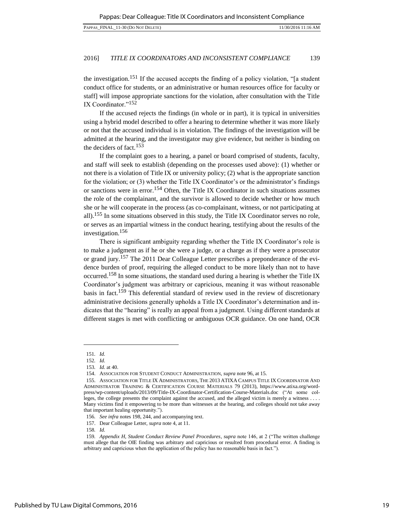the investigation.<sup>151</sup> If the accused accepts the finding of a policy violation, "[a student conduct office for students, or an administrative or human resources office for faculty or staff] will impose appropriate sanctions for the violation, after consultation with the Title IX Coordinator."<sup>152</sup>

If the accused rejects the findings (in whole or in part), it is typical in universities using a hybrid model described to offer a hearing to determine whether it was more likely or not that the accused individual is in violation. The findings of the investigation will be admitted at the hearing, and the investigator may give evidence, but neither is binding on the deciders of fact.<sup>153</sup>

If the complaint goes to a hearing, a panel or board comprised of students, faculty, and staff will seek to establish (depending on the processes used above): (1) whether or not there is a violation of Title IX or university policy; (2) what is the appropriate sanction for the violation; or (3) whether the Title IX Coordinator's or the administrator's findings or sanctions were in error.<sup>154</sup> Often, the Title IX Coordinator in such situations assumes the role of the complainant, and the survivor is allowed to decide whether or how much she or he will cooperate in the process (as co-complainant, witness, or not participating at all).155 In some situations observed in this study, the Title IX Coordinator serves no role, or serves as an impartial witness in the conduct hearing, testifying about the results of the investigation.<sup>156</sup>

There is significant ambiguity regarding whether the Title IX Coordinator's role is to make a judgment as if he or she were a judge, or a charge as if they were a prosecutor or grand jury.157 The 2011 Dear Colleague Letter prescribes a preponderance of the evidence burden of proof, requiring the alleged conduct to be more likely than not to have occurred.<sup>158</sup> In some situations, the standard used during a hearing is whether the Title IX Coordinator's judgment was arbitrary or capricious, meaning it was without reasonable basis in fact.<sup>159</sup> This deferential standard of review used in the review of discretionary administrative decisions generally upholds a Title IX Coordinator's determination and indicates that the "hearing" is really an appeal from a judgment. Using different standards at different stages is met with conflicting or ambiguous OCR guidance. On one hand, OCR

<sup>151</sup>*. Id.* 

<sup>152</sup>*. Id.* 

<sup>153</sup>*. Id.* at 40.

<sup>154.</sup> ASSOCIATION FOR STUDENT CONDUCT ADMINISTRATION, *supra* note 96, at 15.

<sup>155.</sup> ASSOCIATION FOR TITLE IX ADMINISTRATORS, THE 2013 ATIXA CAMPUS TITLE IX COORDINATOR AND ADMINISTRATOR TRAINING & CERTIFICATION COURSE MATERIALS 79 (2013), [https://www.atixa.org/word](https://www.atixa.org/wordpress/wp-content/uploads/2013/09/Title-IX-Coordinator-Certification-Course-Materials.doc)[press/wp-content/uploads/2013/09/Title-IX-Coordinator-Certification-Course-Materials.doc](https://www.atixa.org/wordpress/wp-content/uploads/2013/09/Title-IX-Coordinator-Certification-Course-Materials.doc) ("At some colleges, the college presents the complaint against the accused, and the alleged victim is merely a witness . . . . Many victims find it empowering to be more than witnesses at the hearing, and colleges should not take away that important healing opportunity.").

<sup>156</sup>*. See infra* notes 198, 244, and accompanying text.

<sup>157.</sup> Dear Colleague Letter, *supra* not[e 4,](#page-2-0) at 11.

<sup>158</sup>*. Id.* 

<sup>159</sup>*. Appendix H, Student Conduct Review Panel Procedures*, *supra* note 146, at 2 ("The written challenge must allege that the OIE finding was arbitrary and capricious or resulted from procedural error. A finding is arbitrary and capricious when the application of the policy has no reasonable basis in fact.").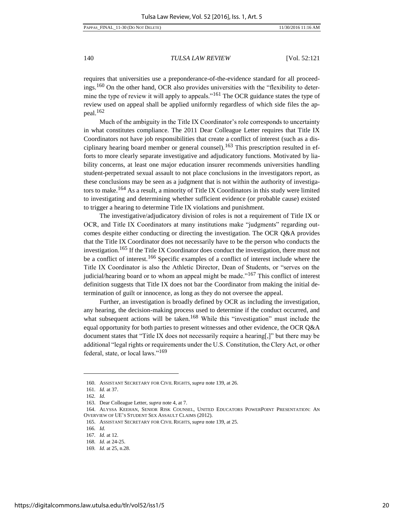PAPPAS\_FINAL\_11-30 (DO NOT DELETE) 11/30/2016 11:16 AM

140 *TULSA LAW REVIEW* [Vol. 52:121

requires that universities use a preponderance-of-the-evidence standard for all proceedings.<sup>160</sup> On the other hand, OCR also provides universities with the "flexibility to determine the type of review it will apply to appeals."161 The OCR guidance states the type of review used on appeal shall be applied uniformly regardless of which side files the appeal.<sup>162</sup>

Much of the ambiguity in the Title IX Coordinator's role corresponds to uncertainty in what constitutes compliance. The 2011 Dear Colleague Letter requires that Title IX Coordinators not have job responsibilities that create a conflict of interest (such as a disciplinary hearing board member or general counsel).<sup>163</sup> This prescription resulted in efforts to more clearly separate investigative and adjudicatory functions. Motivated by liability concerns, at least one major education insurer recommends universities handling student-perpetrated sexual assault to not place conclusions in the investigators report, as these conclusions may be seen as a judgment that is not within the authority of investigators to make.<sup>164</sup> As a result, a minority of Title IX Coordinators in this study were limited to investigating and determining whether sufficient evidence (or probable cause) existed to trigger a hearing to determine Title IX violations and punishment.

The investigative/adjudicatory division of roles is not a requirement of Title IX or OCR, and Title IX Coordinators at many institutions make "judgments" regarding outcomes despite either conducting or directing the investigation. The OCR Q&A provides that the Title IX Coordinator does not necessarily have to be the person who conducts the investigation.<sup>165</sup> If the Title IX Coordinator does conduct the investigation, there must not be a conflict of interest.166 Specific examples of a conflict of interest include where the Title IX Coordinator is also the Athletic Director, Dean of Students, or "serves on the judicial/hearing board or to whom an appeal might be made."<sup>167</sup> This conflict of interest definition suggests that Title IX does not bar the Coordinator from making the initial determination of guilt or innocence, as long as they do not oversee the appeal.

Further, an investigation is broadly defined by OCR as including the investigation, any hearing, the decision-making process used to determine if the conduct occurred, and what subsequent actions will be taken.<sup>168</sup> While this "investigation" must include the equal opportunity for both parties to present witnesses and other evidence, the OCR Q&A document states that "Title IX does not necessarily require a hearing[,]" but there may be additional "legal rights or requirements under the U.S. Constitution, the Clery Act, or other federal, state, or local laws."<sup>169</sup>

<sup>160.</sup> ASSISTANT SECRETARY FOR CIVIL RIGHTS, *supra* note 139, at 26.

<sup>161</sup>*. Id.* at 37.

<sup>162</sup>*. Id.*

<sup>163.</sup> Dear Colleague Letter, *supra* not[e 4,](#page-2-0) at 7.

<sup>164.</sup> ALYSSA KEEHAN, SENIOR RISK COUNSEL, UNITED EDUCATORS POWERPOINT PRESENTATION: AN OVERVIEW OF UE'S STUDENT SEX ASSAULT CLAIMS (2012).

<sup>165.</sup> ASSISTANT SECRETARY FOR CIVIL RIGHTS, *supra* note 139, at 25.

<sup>166</sup>*. Id.*

<sup>167</sup>*. Id.* at 12.

<sup>168</sup>*. Id.* at 24-25.

<sup>169</sup>*. Id.* at 25, n.28.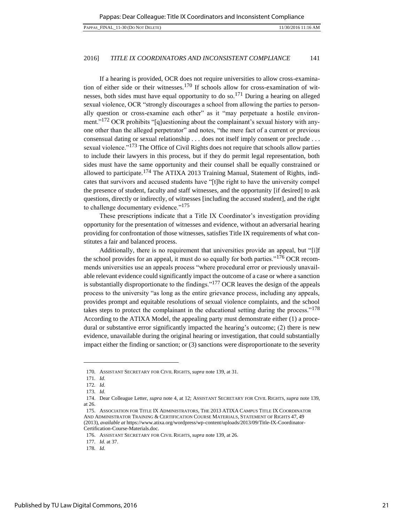If a hearing is provided, OCR does not require universities to allow cross-examination of either side or their witnesses.<sup>170</sup> If schools allow for cross-examination of witnesses, both sides must have equal opportunity to do so.<sup>171</sup> During a hearing on alleged sexual violence, OCR "strongly discourages a school from allowing the parties to personally question or cross-examine each other" as it "may perpetuate a hostile environment."<sup>172</sup> OCR prohibits "[q]uestioning about the complainant's sexual history with anyone other than the alleged perpetrator" and notes, "the mere fact of a current or previous consensual dating or sexual relationship . . . does not itself imply consent or preclude . . . sexual violence."<sup>173</sup> The Office of Civil Rights does not require that schools allow parties to include their lawyers in this process, but if they do permit legal representation, both sides must have the same opportunity and their counsel shall be equally constrained or allowed to participate.<sup>174</sup> The ATIXA 2013 Training Manual, Statement of Rights, indicates that survivors and accused students have "[t]he right to have the university compel the presence of student, faculty and staff witnesses, and the opportunity [if desired] to ask questions, directly or indirectly, of witnesses [including the accused student], and the right to challenge documentary evidence."<sup>175</sup>

These prescriptions indicate that a Title IX Coordinator's investigation providing opportunity for the presentation of witnesses and evidence, without an adversarial hearing providing for confrontation of those witnesses, satisfies Title IX requirements of what constitutes a fair and balanced process.

Additionally, there is no requirement that universities provide an appeal, but "[i]f the school provides for an appeal, it must do so equally for both parties."<sup>176</sup> OCR recommends universities use an appeals process "where procedural error or previously unavailable relevant evidence could significantly impact the outcome of a case or where a sanction is substantially disproportionate to the findings."177 OCR leaves the design of the appeals process to the university "as long as the entire grievance process, including any appeals, provides prompt and equitable resolutions of sexual violence complaints, and the school takes steps to protect the complainant in the educational setting during the process."<sup>178</sup> According to the ATIXA Model, the appealing party must demonstrate either (1) a procedural or substantive error significantly impacted the hearing's outcome; (2) there is new evidence, unavailable during the original hearing or investigation, that could substantially impact either the finding or sanction; or (3) sanctions were disproportionate to the severity

l

177*. Id.* at 37.

<sup>170</sup>*.* ASSISTANT SECRETARY FOR CIVIL RIGHTS, *supra* note 139, at 31.

<sup>171</sup>*. Id.*

<sup>172</sup>*. Id.*

<sup>173</sup>*. Id.*

<sup>174.</sup> Dear Colleague Letter, *supra* not[e 4,](#page-2-0) at 12; ASSISTANT SECRETARY FOR CIVIL RIGHTS, *supra* note 139, at 26.

<sup>175.</sup> ASSOCIATION FOR TITLE IX ADMINISTRATORS, THE 2013 ATIXA CAMPUS TITLE IX COORDINATOR AND ADMINISTRATOR TRAINING & CERTIFICATION COURSE MATERIALS, STATEMENT OF RIGHTS 47, 49 (2013), *available at* [https://www.atixa.org/wordpress/wp-content/uploads/2013/09/Title-IX-Coordinator-](https://www.atixa.org/wordpress/wp-content/uploads/2013/09/Title-IX-Coordinator-Certification-Course-Materials.doc)[Certification-Course-Materials.doc.](https://www.atixa.org/wordpress/wp-content/uploads/2013/09/Title-IX-Coordinator-Certification-Course-Materials.doc)

<sup>176.</sup> ASSISTANT SECRETARY FOR CIVIL RIGHTS, *supra* note 139, at 26.

<sup>178</sup>*. Id.*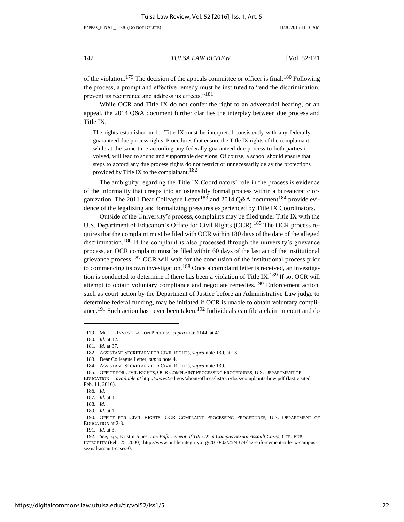of the violation.<sup>179</sup> The decision of the appeals committee or officer is final.<sup>180</sup> Following the process, a prompt and effective remedy must be instituted to "end the discrimination, prevent its recurrence and address its effects."<sup>181</sup>

While OCR and Title IX do not confer the right to an adversarial hearing, or an appeal, the 2014 Q&A document further clarifies the interplay between due process and Title IX:

The rights established under Title IX must be interpreted consistently with any federally guaranteed due process rights. Procedures that ensure the Title IX rights of the complainant, while at the same time according any federally guaranteed due process to both parties involved, will lead to sound and supportable decisions. Of course, a school should ensure that steps to accord any due process rights do not restrict or unnecessarily delay the protections provided by Title IX to the complainant.<sup>182</sup>

The ambiguity regarding the Title IX Coordinators' role in the process is evidence of the informality that creeps into an ostensibly formal process within a bureaucratic organization. The 2011 Dear Colleague Letter<sup>183</sup> and 2014 Q&A document<sup>184</sup> provide evidence of the legalizing and formalizing pressures experienced by Title IX Coordinators.

<span id="page-22-0"></span>Outside of the University's process, complaints may be filed under Title IX with the U.S. Department of Education's Office for Civil Rights (OCR).<sup>185</sup> The OCR process requires that the complaint must be filed with OCR within 180 days of the date of the alleged discrimination.<sup>186</sup> If the complaint is also processed through the university's grievance process, an OCR complaint must be filed within 60 days of the last act of the institutional grievance process.187 OCR will wait for the conclusion of the institutional process prior to commencing its own investigation.<sup>188</sup> Once a complaint letter is received, an investigation is conducted to determine if there has been a violation of Title IX.<sup>189</sup> If so, OCR will attempt to obtain voluntary compliance and negotiate remedies.<sup>190</sup> Enforcement action, such as court action by the Department of Justice before an Administrative Law judge to determine federal funding, may be initiated if OCR is unable to obtain voluntary compliance.<sup>191</sup> Such action has never been taken.<sup>192</sup> Individuals can file a claim in court and do

l

191*. Id.* at 3.

<sup>179.</sup> MODEL INVESTIGATION PROCESS, *supra* not[e 1144](#page-14-0), at 41.

<sup>180</sup>*. Id.* at 42.

<sup>181</sup>*. Id.* at 37.

<sup>182.</sup> ASSISTANT SECRETARY FOR CIVIL RIGHTS, *supra* note 139, at 13.

<sup>183.</sup> Dear Colleague Letter, *supra* not[e 4.](#page-2-0)

<sup>184.</sup> ASSISTANT SECRETARY FOR CIVIL RIGHTS, *supra* note 139.

<sup>185.</sup> OFFICE FOR CIVIL RIGHTS, OCR COMPLAINT PROCESSING PROCEDURES, U.S. DEPARTMENT OF

EDUCATION 1, *available at* [http://www2.ed.gov/about/offices/list/ocr/docs/complaints-how.pdf \(](http://www2.ed.gov/about/offices/list/ocr/docs/complaints-how.pdf)last visited Feb. 11, 2016).

<sup>186</sup>*. Id.* 

<sup>187</sup>*. Id.* at 4.

<sup>188</sup>*. Id.* 

<sup>189</sup>*. Id.* at 1.

<sup>190</sup>*.* OFFICE FOR CIVIL RIGHTS, OCR COMPLAINT PROCESSING PROCEDURES, U.S. DEPARTMENT OF EDUCATION at 2-3.

<sup>192.</sup> *See, e.g*., Kristin Jones, *Lax Enforcement of Title IX in Campus Sexual Assault Cases*, CTR. PUB. INTEGRITY (Feb. 25, 2000), http://www.publicintegrity.org/2010/02/25/4374/lax-enforcement-title-ix-campussexual-assault-cases-0.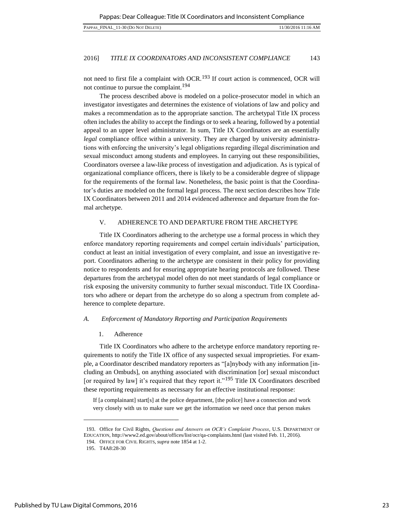not need to first file a complaint with OCR.<sup>193</sup> If court action is commenced, OCR will not continue to pursue the complaint.<sup>194</sup>

The process described above is modeled on a police-prosecutor model in which an investigator investigates and determines the existence of violations of law and policy and makes a recommendation as to the appropriate sanction. The archetypal Title IX process often includes the ability to accept the findings or to seek a hearing, followed by a potential appeal to an upper level administrator. In sum, Title IX Coordinators are an essentially *legal* compliance office within a university. They are charged by university administrations with enforcing the university's legal obligations regarding illegal discrimination and sexual misconduct among students and employees. In carrying out these responsibilities, Coordinators oversee a law-like process of investigation and adjudication. As is typical of organizational compliance officers, there is likely to be a considerable degree of slippage for the requirements of the formal law. Nonetheless, the basic point is that the Coordinator's duties are modeled on the formal legal process. The next section describes how Title IX Coordinators between 2011 and 2014 evidenced adherence and departure from the formal archetype.

# V. [ADHERENCE](#page-1-0) TO AND DEPARTURE FROM THE ARCHETYPE

Title IX Coordinators adhering to the archetype use a formal process in which they enforce mandatory reporting requirements and compel certain individuals' participation, conduct at least an initial investigation of every complaint, and issue an investigative report. Coordinators adhering to the archetype are consistent in their policy for providing notice to respondents and for ensuring appropriate hearing protocols are followed. These departures from the archetypal model often do not meet standards of legal compliance or risk exposing the university community to further sexual misconduct. Title IX Coordinators who adhere or depart from the archetype do so along a spectrum from complete adherence to complete departure.

# *A. Enforcement of Mandatory Reporting and Participation Requirements*

# 1. Adherence

Title IX Coordinators who adhere to the archetype enforce mandatory reporting requirements to notify the Title IX office of any suspected sexual improprieties. For example, a Coordinator described mandatory reporters as "[a]nybody with any information [including an Ombuds], on anything associated with discrimination [or] sexual misconduct [or required by law] it's required that they report it."<sup>195</sup> Title IX Coordinators described these reporting requirements as necessary for an effective institutional response:

If [a complainant] start[s] at the police department, [the police] have a connection and work very closely with us to make sure we get the information we need once that person makes

<sup>193.</sup> Office for Civil Rights, *Questions and Answers on OCR's Complaint Process*, U.S. DEPARTMENT OF EDUCATION, [http://www2.ed.gov/about/offices/list/ocr/qa-complaints.html \(](http://www2.ed.gov/about/offices/list/ocr/qa-complaints.html)last visited Feb. 11, 2016).

<sup>194.</sup> OFFICE FOR CIVIL RIGHTS, *supra* not[e 1854](#page-22-0) at 1-2.

<sup>195.</sup> T4A8:28-30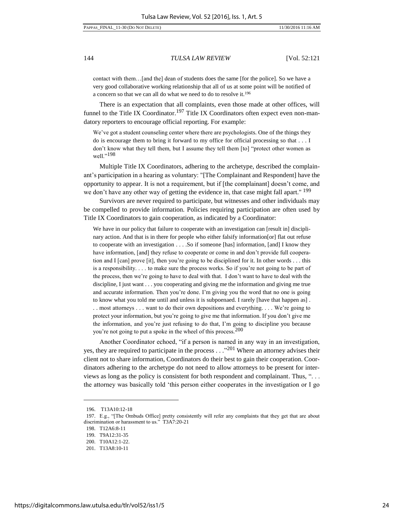contact with them…[and the] dean of students does the same [for the police]. So we have a very good collaborative working relationship that all of us at some point will be notified of a concern so that we can all do what we need to do to resolve it.<sup>196</sup>

There is an expectation that all complaints, even those made at other offices, will funnel to the Title IX Coordinator.<sup>197</sup> Title IX Coordinators often expect even non-mandatory reporters to encourage official reporting. For example:

We've got a student counseling center where there are psychologists. One of the things they do is encourage them to bring it forward to my office for official processing so that . . . I don't know what they tell them, but I assume they tell them [to] "protect other women as well."<sup>198</sup>

Multiple Title IX Coordinators, adhering to the archetype, described the complainant's participation in a hearing as voluntary: "[The Complainant and Respondent] have the opportunity to appear. It is not a requirement, but if [the complainant] doesn't come, and we don't have any other way of getting the evidence in, that case might fall apart." <sup>199</sup>

Survivors are never required to participate, but witnesses and other individuals may be compelled to provide information. Policies requiring participation are often used by Title IX Coordinators to gain cooperation, as indicated by a Coordinator:

We have in our policy that failure to cooperate with an investigation can [result in] disciplinary action. And that is in there for people who either falsify information[or] flat out refuse to cooperate with an investigation . . . .So if someone [has] information, [and] I know they have information, [and] they refuse to cooperate or come in and don't provide full cooperation and I  $[can]$  prove  $[it]$ , then you're going to be disciplined for it. In other words  $\dots$  this is a responsibility. . . . to make sure the process works. So if you're not going to be part of the process, then we're going to have to deal with that. I don't want to have to deal with the discipline, I just want . . . you cooperating and giving me the information and giving me true and accurate information. Then you're done. I'm giving you the word that no one is going to know what you told me until and unless it is subpoenaed. I rarely [have that happen as] . . . most attorneys . . . want to do their own depositions and everything. . . . We're going to protect your information, but you're going to give me that information. If you don't give me the information, and you're just refusing to do that, I'm going to discipline you because you're not going to put a spoke in the wheel of this process.<sup>200</sup>

Another Coordinator echoed, "if a person is named in any way in an investigation, yes, they are required to participate in the process  $\ldots$ <sup>201</sup> Where an attorney advises their client not to share information, Coordinators do their best to gain their cooperation. Coordinators adhering to the archetype do not need to allow attorneys to be present for interviews as long as the policy is consistent for both respondent and complainant. Thus, ". . . the attorney was basically told 'this person either cooperates in the investigation or I go

<sup>196.</sup> T13A10:12-18

<sup>197.</sup> E.g., "[The Ombuds Office] pretty consistently will refer any complaints that they get that are about discrimination or harassment to us." T3A7:20-21

<sup>198.</sup> T12A6:8-11

<sup>199.</sup> T9A12:31-35

<sup>200.</sup> T10A12:1-22.

<sup>201.</sup> T13A8:10-11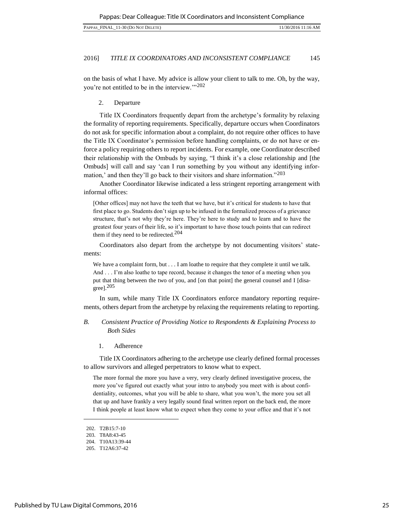on the basis of what I have. My advice is allow your client to talk to me. Oh, by the way, you're not entitled to be in the interview.'"<sup>202</sup>

#### 2. Departure

Title IX Coordinators frequently depart from the archetype's formality by relaxing the formality of reporting requirements. Specifically, departure occurs when Coordinators do not ask for specific information about a complaint, do not require other offices to have the Title IX Coordinator's permission before handling complaints, or do not have or enforce a policy requiring others to report incidents. For example, one Coordinator described their relationship with the Ombuds by saying, "I think it's a close relationship and [the Ombuds] will call and say 'can I run something by you without any identifying information,' and then they'll go back to their visitors and share information."<sup>203</sup>

Another Coordinator likewise indicated a less stringent reporting arrangement with informal offices:

[Other offices] may not have the teeth that we have, but it's critical for students to have that first place to go. Students don't sign up to be infused in the formalized process of a grievance structure, that's not why they're here. They're here to study and to learn and to have the greatest four years of their life, so it's important to have those touch points that can redirect them if they need to be redirected.<sup>204</sup>

Coordinators also depart from the archetype by not documenting visitors' statements:

We have a complaint form, but . . . I am loathe to require that they complete it until we talk. And . . . I'm also loathe to tape record, because it changes the tenor of a meeting when you put that thing between the two of you, and [on that point] the general counsel and I [disagree].<sup>205</sup>

In sum, while many Title IX Coordinators enforce mandatory reporting requirements, others depart from the archetype by relaxing the requirements relating to reporting.

# *B. Consistent Practice of Providing Notice to Respondents & Explaining Process to Both Sides*

1. Adherence

Title IX Coordinators adhering to the archetype use clearly defined formal processes to allow survivors and alleged perpetrators to know what to expect.

The more formal the more you have a very, very clearly defined investigative process, the more you've figured out exactly what your intro to anybody you meet with is about confidentiality, outcomes, what you will be able to share, what you won't, the more you set all that up and have frankly a very legally sound final written report on the back end, the more I think people at least know what to expect when they come to your office and that it's not

<sup>202.</sup> T2B15:7-10

<sup>203.</sup> T8A8:43-45

<sup>204.</sup> T10A13:39-44

<sup>205.</sup> T12A6:37-42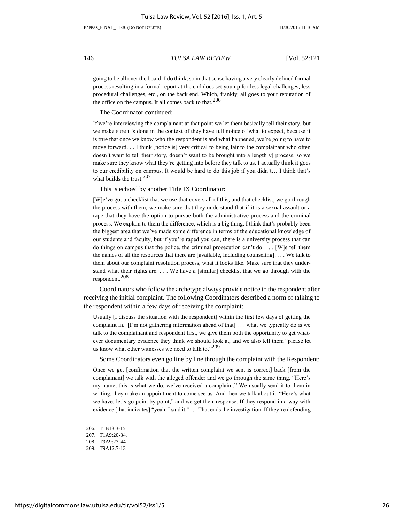going to be all over the board. I do think, so in that sense having a very clearly defined formal process resulting in a formal report at the end does set you up for less legal challenges, less procedural challenges, etc., on the back end. Which, frankly, all goes to your reputation of the office on the campus. It all comes back to that.<sup>206</sup>

The Coordinator continued:

If we're interviewing the complainant at that point we let them basically tell their story, but we make sure it's done in the context of they have full notice of what to expect, because it is true that once we know who the respondent is and what happened, we're going to have to move forward. . . I think [notice is] very critical to being fair to the complainant who often doesn't want to tell their story, doesn't want to be brought into a length[y] process, so we make sure they know what they're getting into before they talk to us. I actually think it goes to our credibility on campus. It would be hard to do this job if you didn't… I think that's what builds the trust. $207$ 

This is echoed by another Title IX Coordinator:

[W]e've got a checklist that we use that covers all of this, and that checklist, we go through the process with them, we make sure that they understand that if it is a sexual assault or a rape that they have the option to pursue both the administrative process and the criminal process. We explain to them the difference, which is a big thing. I think that's probably been the biggest area that we've made some difference in terms of the educational knowledge of our students and faculty, but if you're raped you can, there is a university process that can do things on campus that the police, the criminal prosecution can't do. . . . [W]e tell them the names of all the resources that there are [available, including counseling]. . . . We talk to them about our complaint resolution process, what it looks like. Make sure that they understand what their rights are. . . . We have a [similar] checklist that we go through with the respondent.<sup>208</sup>

Coordinators who follow the archetype always provide notice to the respondent after receiving the initial complaint. The following Coordinators described a norm of talking to the respondent within a few days of receiving the complaint:

Usually [I discuss the situation with the respondent] within the first few days of getting the complaint in.  $[I'm not gathering information ahead of that] \dots what we typically do is we$ talk to the complainant and respondent first, we give them both the opportunity to get whatever documentary evidence they think we should look at, and we also tell them "please let us know what other witnesses we need to talk to."209

Some Coordinators even go line by line through the complaint with the Respondent:

Once we get [confirmation that the written complaint we sent is correct] back [from the complainant] we talk with the alleged offender and we go through the same thing. "Here's my name, this is what we do, we've received a complaint." We usually send it to them in writing, they make an appointment to come see us. And then we talk about it. "Here's what we have, let's go point by point," and we get their response. If they respond in a way with evidence [that indicates] "yeah, I said it," . . . That ends the investigation. If they're defending

<sup>206.</sup> T1B13:3-15

<sup>207.</sup> T1A9:20-34.

<sup>208.</sup> T9A9:27-44

<sup>209.</sup> T9A12:7-13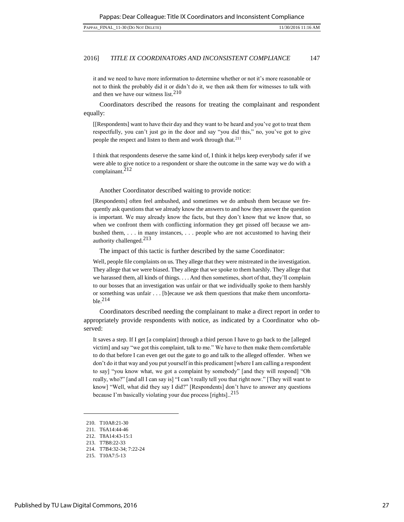it and we need to have more information to determine whether or not it's more reasonable or not to think the probably did it or didn't do it, we then ask them for witnesses to talk with and then we have our witness list. $210$ 

Coordinators described the reasons for treating the complainant and respondent equally:

[[Respondents] want to have their day and they want to be heard and you've got to treat them respectfully, you can't just go in the door and say "you did this," no, you've got to give people the respect and listen to them and work through that.<sup>211</sup>

I think that respondents deserve the same kind of, I think it helps keep everybody safer if we were able to give notice to a respondent or share the outcome in the same way we do with a complainant.<sup>212</sup>

Another Coordinator described waiting to provide notice:

[Respondents] often feel ambushed, and sometimes we do ambush them because we frequently ask questions that we already know the answers to and how they answer the question is important. We may already know the facts, but they don't know that we know that, so when we confront them with conflicting information they get pissed off because we ambushed them, . . . in many instances, . . . people who are not accustomed to having their authority challenged.<sup>213</sup>

The impact of this tactic is further described by the same Coordinator:

Well, people file complaints on us. They allege that they were mistreated in the investigation. They allege that we were biased. They allege that we spoke to them harshly. They allege that we harassed them, all kinds of things. . . . And then sometimes, short of that, they'll complain to our bosses that an investigation was unfair or that we individually spoke to them harshly or something was unfair . . . [b]ecause we ask them questions that make them uncomfortable.<sup>214</sup>

Coordinators described needing the complainant to make a direct report in order to appropriately provide respondents with notice, as indicated by a Coordinator who observed:

It saves a step. If I get [a complaint] through a third person I have to go back to the [alleged victim] and say "we got this complaint, talk to me." We have to then make them comfortable to do that before I can even get out the gate to go and talk to the alleged offender. When we don't do it that way and you put yourself in this predicament [where I am calling a respondent to say] "you know what, we got a complaint by somebody" [and they will respond] "Oh really, who?" [and all I can say is] "I can't really tell you that right now." [They will want to know] "Well, what did they say I did?" [Respondents] don't have to answer any questions because I'm basically violating your due process [rights]..<sup>215</sup>

<sup>210.</sup> T10A8:21-30

<sup>211.</sup> T6A14:44-46

<sup>212.</sup> T8A14:43-15:1

<sup>213.</sup> T7B8:22-33

<sup>214.</sup> T7B4:32-34; 7:22-24

<sup>215.</sup> T10A7:5-13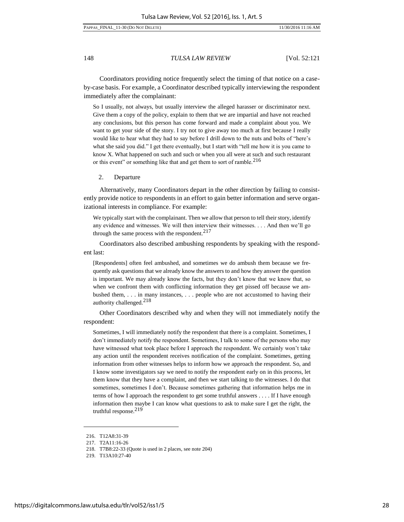#### PAPPAS\_FINAL\_11-30 (DO NOT DELETE) 11/30/2016 11:16 AM

148 *TULSA LAW REVIEW* [Vol. 52:121

Coordinators providing notice frequently select the timing of that notice on a caseby-case basis. For example, a Coordinator described typically interviewing the respondent immediately after the complainant:

So I usually, not always, but usually interview the alleged harasser or discriminator next. Give them a copy of the policy, explain to them that we are impartial and have not reached any conclusions, but this person has come forward and made a complaint about you. We want to get your side of the story. I try not to give away too much at first because I really would like to hear what they had to say before I drill down to the nuts and bolts of "here's what she said you did." I get there eventually, but I start with "tell me how it is you came to know X. What happened on such and such or when you all were at such and such restaurant or this event" or something like that and get them to sort of ramble.<sup>216</sup>

2. Departure

Alternatively, many Coordinators depart in the other direction by failing to consistently provide notice to respondents in an effort to gain better information and serve organizational interests in compliance. For example:

We typically start with the complainant. Then we allow that person to tell their story, identify any evidence and witnesses. We will then interview their witnesses. . . . And then we'll go through the same process with the respondent.  $217$ 

Coordinators also described ambushing respondents by speaking with the respondent last:

[Respondents] often feel ambushed, and sometimes we do ambush them because we frequently ask questions that we already know the answers to and how they answer the question is important. We may already know the facts, but they don't know that we know that, so when we confront them with conflicting information they get pissed off because we ambushed them, . . . in many instances, . . . people who are not accustomed to having their authority challenged.<sup>218</sup>

Other Coordinators described why and when they will not immediately notify the respondent:

Sometimes, I will immediately notify the respondent that there is a complaint. Sometimes, I don't immediately notify the respondent. Sometimes, I talk to some of the persons who may have witnessed what took place before I approach the respondent. We certainly won't take any action until the respondent receives notification of the complaint. Sometimes, getting information from other witnesses helps to inform how we approach the respondent. So, and I know some investigators say we need to notify the respondent early on in this process, let them know that they have a complaint, and then we start talking to the witnesses. I do that sometimes, sometimes I don't. Because sometimes gathering that information helps me in terms of how I approach the respondent to get some truthful answers . . . . If I have enough information then maybe I can know what questions to ask to make sure I get the right, the truthful response.<sup>219</sup>

<sup>216.</sup> T12A8:31-39

<sup>217.</sup> T2A11:16-26

<sup>218.</sup> T7B8:22-33 (Quote is used in 2 places, see note 204)

<sup>219.</sup> T13A10:27-40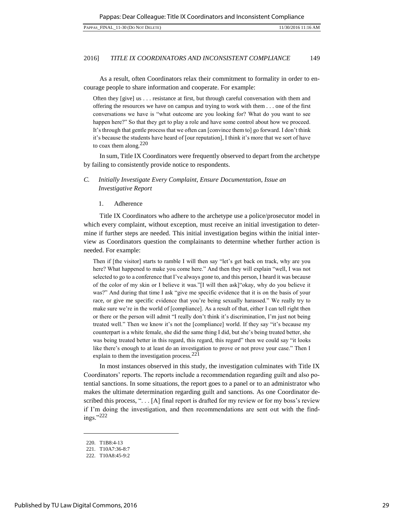As a result, often Coordinators relax their commitment to formality in order to encourage people to share information and cooperate. For example:

Often they [give] us . . . resistance at first, but through careful conversation with them and offering the resources we have on campus and trying to work with them . . . one of the first conversations we have is "what outcome are you looking for? What do you want to see happen here?" So that they get to play a role and have some control about how we proceed. It's through that gentle process that we often can [convince them to] go forward. I don't think it's because the students have heard of [our reputation], I think it's more that we sort of have to coax them along. $220$ 

In sum, Title IX Coordinators were frequently observed to depart from the archetype by failing to consistently provide notice to respondents.

# *C. Initially Investigate Every Complaint, Ensure Documentation, Issue an Investigative Report*

# 1. Adherence

Title IX Coordinators who adhere to the archetype use a police/prosecutor model in which every complaint, without exception, must receive an initial investigation to determine if further steps are needed. This initial investigation begins within the initial interview as Coordinators question the complainants to determine whether further action is needed. For example:

Then if [the visitor] starts to ramble I will then say "let's get back on track, why are you here? What happened to make you come here." And then they will explain "well, I was not selected to go to a conference that I've always gone to, and this person, I heard it was because of the color of my skin or I believe it was."[I will then ask]"okay, why do you believe it was?" And during that time I ask "give me specific evidence that it is on the basis of your race, or give me specific evidence that you're being sexually harassed." We really try to make sure we're in the world of [compliance]. As a result of that, either I can tell right then or there or the person will admit "I really don't think it's discrimination, I'm just not being treated well." Then we know it's not the [compliance] world. If they say "it's because my counterpart is a white female, she did the same thing I did, but she's being treated better, she was being treated better in this regard, this regard, this regard" then we could say "it looks like there's enough to at least do an investigation to prove or not prove your case." Then I explain to them the investigation process.<sup>221</sup>

In most instances observed in this study, the investigation culminates with Title IX Coordinators' reports. The reports include a recommendation regarding guilt and also potential sanctions. In some situations, the report goes to a panel or to an administrator who makes the ultimate determination regarding guilt and sanctions. As one Coordinator described this process, ". . . [A] final report is drafted for my review or for my boss's review if I'm doing the investigation, and then recommendations are sent out with the findings."<sup>222</sup>

<sup>220.</sup> T1B8:4-13

<sup>221.</sup> T10A7:36-8:7

<sup>222.</sup> T10A8:45-9:2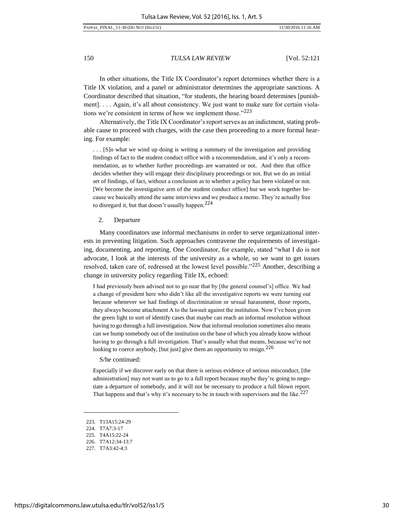In other situations, the Title IX Coordinator's report determines whether there is a Title IX violation, and a panel or administrator determines the appropriate sanctions. A Coordinator described that situation, "for students, the hearing board determines [punishment]. . . . Again, it's all about consistency. We just want to make sure for certain violations we're consistent in terms of how we implement those." $223$ 

Alternatively, the Title IX Coordinator's report serves as an indictment, stating probable cause to proceed with charges, with the case then proceeding to a more formal hearing. For example:

. . . [S]o what we wind up doing is writing a summary of the investigation and providing findings of fact to the student conduct office with a recommendation, and it's only a recommendation, as to whether further proceedings are warranted or not. And then that office decides whether they will engage their disciplinary proceedings or not. But we do an initial set of findings, of fact, without a conclusion as to whether a policy has been violated or not. [We become the investigative arm of the student conduct office] but we work together because we basically attend the same interviews and we produce a memo. They're actually free to disregard it, but that doesn't usually happen.<sup>224</sup>

#### 2. Departure

Many coordinators use informal mechanisms in order to serve organizational interests in preventing litigation. Such approaches contravene the requirements of investigating, documenting, and reporting. One Coordinator, for example, stated "what I do is not advocate, I look at the interests of the university as a whole, so we want to get issues resolved, taken care of, redressed at the lowest level possible."225 Another, describing a change in university policy regarding Title IX, echoed:

I had previously been advised not to go near that by [the general counsel's] office. We had a change of president here who didn't like all the investigative reports we were turning out because whenever we had findings of discrimination or sexual harassment, those reports, they always become attachment A to the lawsuit against the institution. Now I've been given the green light to sort of identify cases that maybe can reach an informal resolution without having to go through a full investigation. Now that informal resolution sometimes also means can we bump somebody out of the institution on the base of which you already know without having to go through a full investigation. That's usually what that means, because we're not looking to coerce anybody, [but just] give them an opportunity to resign.<sup>226</sup>

S/he continued:

Especially if we discover early on that there is serious evidence of serious misconduct, [the administration] may not want us to go to a full report because maybe they're going to negotiate a departure of somebody, and it will not be necessary to produce a full blown report. That happens and that's why it's necessary to be in touch with supervisors and the like.<sup>227</sup>

<sup>223.</sup> T13A15:24-29

<sup>224.</sup> T7A7:3-17

<sup>225.</sup> T4A15:22-24

<sup>226.</sup> T7A12:34-13:7

<sup>227.</sup> T7A3:42-4:3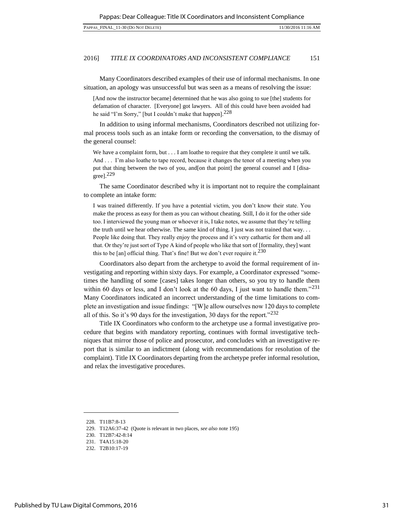Many Coordinators described examples of their use of informal mechanisms. In one situation, an apology was unsuccessful but was seen as a means of resolving the issue:

[And now the instructor became] determined that he was also going to sue [the] students for defamation of character. [Everyone] got lawyers. All of this could have been avoided had he said "I'm Sorry," [but I couldn't make that happen].<sup>228</sup>

In addition to using informal mechanisms, Coordinators described not utilizing formal process tools such as an intake form or recording the conversation, to the dismay of the general counsel:

We have a complaint form, but . . . I am loathe to require that they complete it until we talk. And . . . I'm also loathe to tape record, because it changes the tenor of a meeting when you put that thing between the two of you, and[on that point] the general counsel and I [disagree]. $229$ 

The same Coordinator described why it is important not to require the complainant to complete an intake form:

I was trained differently. If you have a potential victim, you don't know their state. You make the process as easy for them as you can without cheating. Still, I do it for the other side too. I interviewed the young man or whoever it is, I take notes, we assume that they're telling the truth until we hear otherwise. The same kind of thing. I just was not trained that way. . . People like doing that. They really enjoy the process and it's very cathartic for them and all that. Or they're just sort of Type A kind of people who like that sort of [formality, they] want this to be [an] official thing. That's fine! But we don't ever require it.<sup>230</sup>

Coordinators also depart from the archetype to avoid the formal requirement of investigating and reporting within sixty days. For example, a Coordinator expressed "sometimes the handling of some [cases] takes longer than others, so you try to handle them within 60 days or less, and I don't look at the 60 days, I just want to handle them." $^{231}$ Many Coordinators indicated an incorrect understanding of the time limitations to complete an investigation and issue findings: "[W]e allow ourselves now 120 days to complete all of this. So it's 90 days for the investigation, 30 days for the report." $^{232}$ 

Title IX Coordinators who conform to the archetype use a formal investigative procedure that begins with mandatory reporting, continues with formal investigative techniques that mirror those of police and prosecutor, and concludes with an investigative report that is similar to an indictment (along with recommendations for resolution of the complaint). Title IX Coordinators departing from the archetype prefer informal resolution, and relax the investigative procedures.

<sup>228.</sup> T11B7:8-13

<sup>229.</sup> T12A6:37-42 (Quote is relevant in two places, *see also* note 195)

<sup>230.</sup> T12B7:42-8:14

<sup>231.</sup> T4A15:18-20

<sup>232.</sup> T2B10:17-19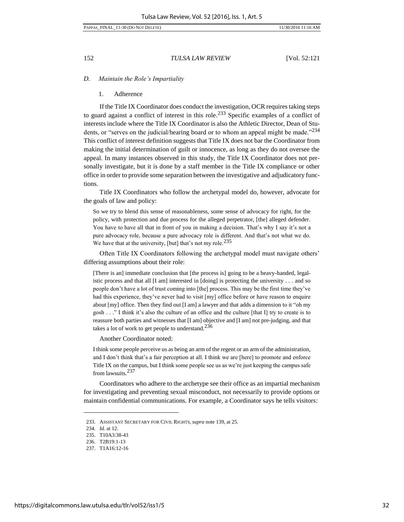*D. Maintain the Role's Impartiality*

#### 1. Adherence

If the Title IX Coordinator does conduct the investigation, OCR requires taking steps to guard against a conflict of interest in this role.<sup>233</sup> Specific examples of a conflict of interests include where the Title IX Coordinator is also the Athletic Director, Dean of Students, or "serves on the judicial/hearing board or to whom an appeal might be made."<sup>234</sup> This conflict of interest definition suggests that Title IX does not bar the Coordinator from making the initial determination of guilt or innocence, as long as they do not oversee the appeal. In many instances observed in this study, the Title IX Coordinator does not personally investigate, but it is done by a staff member in the Title IX compliance or other office in order to provide some separation between the investigative and adjudicatory functions.

Title IX Coordinators who follow the archetypal model do, however, advocate for the goals of law and policy:

So we try to blend this sense of reasonableness, some sense of advocacy for right, for the policy, with protection and due process for the alleged perpetrator, [the] alleged defender. You have to have all that in front of you in making a decision. That's why I say it's not a pure advocacy role, because a pure advocacy role is different. And that's not what we do. We have that at the university, [but] that's not my role.<sup>235</sup>

Often Title IX Coordinators following the archetypal model must navigate others' differing assumptions about their role:

[There is an] immediate conclusion that [the process is] going to be a heavy-handed, legalistic process and that all [I am] interested in [doing] is protecting the university . . . and so people don't have a lot of trust coming into [the] process. This may be the first time they've had this experience, they've never had to visit [my] office before or have reason to enquire about [my] office. Then they find out [I am] a lawyer and that adds a dimension to it "oh my gosh . . ." I think it's also the culture of an office and the culture [that I] try to create is to reassure both parties and witnesses that [I am] objective and [I am] not pre-judging, and that takes a lot of work to get people to understand.<sup>236</sup>

Another Coordinator noted:

I think some people perceive us as being an arm of the regent or an arm of the administration, and I don't think that's a fair perception at all. I think we are [here] to promote and enforce Title IX on the campus, but I think some people see us as we're just keeping the campus safe from lawsuits.<sup>237</sup>

Coordinators who adhere to the archetype see their office as an impartial mechanism for investigating and preventing sexual misconduct, not necessarily to provide options or maintain confidential communications. For example, a Coordinator says he tells visitors:

<sup>233.</sup> ASSISTANT SECRETARY FOR CIVIL RIGHTS, *supra* note 139, at 25.

<sup>234</sup>*. Id.* at 12.

<sup>235.</sup> T10A3:38-43

<sup>236.</sup> T2B19:1-13

<sup>237.</sup> T1A16:12-16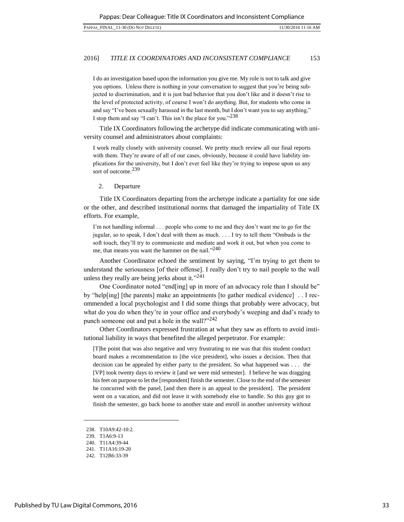I do an investigation based upon the information you give me. My role is not to talk and give you options. Unless there is nothing in your conversation to suggest that you're being subjected to discrimination, and it is just bad behavior that you don't like and it doesn't rise to the level of protected activity, of course I won't do anything. But, for students who come in and say "I've been sexually harassed in the last month, but I don't want you to say anything," I stop them and say "I can't. This isn't the place for you."<sup>238</sup>

Title IX Coordinators following the archetype did indicate communicating with university counsel and administrators about complaints:

I work really closely with university counsel. We pretty much review all our final reports with them. They're aware of all of our cases, obviously, because it could have liability implications for the university, but I don't ever feel like they're trying to impose upon us any sort of outcome.<sup>239</sup>

#### 2. Departure

Title IX Coordinators departing from the archetype indicate a partiality for one side or the other, and described institutional norms that damaged the impartiality of Title IX efforts. For example,

I'm not handling informal . . . people who come to me and they don't want me to go for the jugular, so to speak, I don't deal with them as much. . . . I try to tell them "Ombuds is the soft touch, they'll try to communicate and mediate and work it out, but when you come to me, that means you want the hammer on the nail."<sup>240</sup>

Another Coordinator echoed the sentiment by saying, "I'm trying to get them to understand the seriousness [of their offense]. I really don't try to nail people to the wall unless they really are being jerks about it." $241$ 

One Coordinator noted "end[ing] up in more of an advocacy role than I should be" by "help[ing] [the parents] make an appointments [to gather medical evidence] . . I recommended a local psychologist and I did some things that probably were advocacy, but what do you do when they're in your office and everybody's weeping and dad's ready to punch someone out and put a hole in the wall?"<sup>242</sup>

Other Coordinators expressed frustration at what they saw as efforts to avoid institutional liability in ways that benefited the alleged perpetrator. For example:

[T]he point that was also negative and very frustrating to me was that this student conduct board makes a recommendation to [the vice president], who issues a decision. Then that decision can be appealed by either party to the president. So what happened was . . . the [VP] took twenty days to review it [and we were mid semester]. I believe he was dragging his feet on purpose to let the [respondent] finish the semester. Close to the end of the semester he concurred with the panel, [and then there is an appeal to the president]. The president went on a vacation, and did not leave it with somebody else to handle. So this guy got to finish the semester, go back home to another state and enroll in another university without

<sup>238.</sup> T10A9:42-10:2.

<sup>239.</sup> T1A6:9-13

<sup>240.</sup> T11A4:39-44

<sup>241.</sup> T11A16:19-20

<sup>242.</sup> T12B6:33-39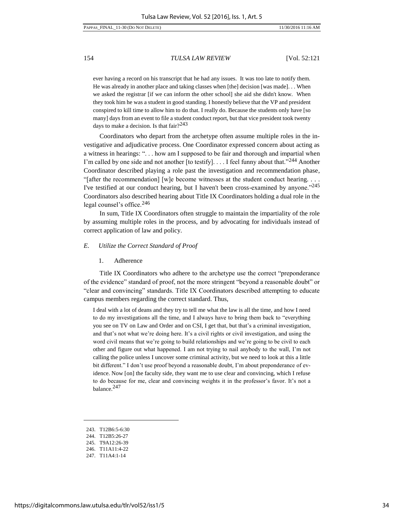ever having a record on his transcript that he had any issues. It was too late to notify them. He was already in another place and taking classes when [the] decision [was made]. . . When we asked the registrar [if we can inform the other school] she aid she didn't know. When they took him he was a student in good standing. I honestly believe that the VP and president conspired to kill time to allow him to do that. I really do. Because the students only have [so many] days from an event to file a student conduct report, but that vice president took twenty days to make a decision. Is that fair?<sup>243</sup>

Coordinators who depart from the archetype often assume multiple roles in the investigative and adjudicative process. One Coordinator expressed concern about acting as a witness in hearings: ". . . how am I supposed to be fair and thorough and impartial when I'm called by one side and not another [to testify]. . . . I feel funny about that."<sup>244</sup> Another Coordinator described playing a role past the investigation and recommendation phase, "[after the recommendation] [w]e become witnesses at the student conduct hearing. . . . I've testified at our conduct hearing, but I haven't been cross-examined by anyone."<sup>245</sup> Coordinators also described hearing about Title IX Coordinators holding a dual role in the legal counsel's office.<sup>246</sup>

In sum, Title IX Coordinators often struggle to maintain the impartiality of the role by assuming multiple roles in the process, and by advocating for individuals instead of correct application of law and policy.

# *E. Utilize the Correct Standard of Proof*

1. Adherence

Title IX Coordinators who adhere to the archetype use the correct "preponderance of the evidence" standard of proof, not the more stringent "beyond a reasonable doubt" or "clear and convincing" standards. Title IX Coordinators described attempting to educate campus members regarding the correct standard. Thus,

I deal with a lot of deans and they try to tell me what the law is all the time, and how I need to do my investigations all the time, and I always have to bring them back to "everything you see on TV on Law and Order and on CSI, I get that, but that's a criminal investigation, and that's not what we're doing here. It's a civil rights or civil investigation, and using the word civil means that we're going to build relationships and we're going to be civil to each other and figure out what happened. I am not trying to nail anybody to the wall, I'm not calling the police unless I uncover some criminal activity, but we need to look at this a little bit different." I don't use proof beyond a reasonable doubt, I'm about preponderance of evidence. Now [on] the faculty side, they want me to use clear and convincing, which I refuse to do because for me, clear and convincing weights it in the professor's favor. It's not a balance.<sup>247</sup>

247. T11A4:1-14

<sup>243.</sup> T12B6:5-6:30

<sup>244.</sup> T12B5:26-27

<sup>245.</sup> T9A12:26-39

<sup>246.</sup> T11A11:4-22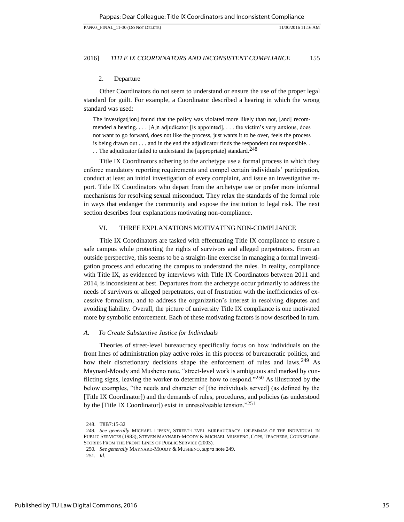### 2. Departure

Other Coordinators do not seem to understand or ensure the use of the proper legal standard for guilt. For example, a Coordinator described a hearing in which the wrong standard was used:

The investigat[ion] found that the policy was violated more likely than not, [and] recommended a hearing. . . . [A]n adjudicator [is appointed], . . . the victim's very anxious, does not want to go forward, does not like the process, just wants it to be over, feels the process is being drawn out . . . and in the end the adjudicator finds the respondent not responsible. .

.. The adjudicator failed to understand the [appropriate] standard.<sup>248</sup>

Title IX Coordinators adhering to the archetype use a formal process in which they enforce mandatory reporting requirements and compel certain individuals' participation, conduct at least an initial investigation of every complaint, and issue an investigative report. Title IX Coordinators who depart from the archetype use or prefer more informal mechanisms for resolving sexual misconduct. They relax the standards of the formal role in ways that endanger the community and expose the institution to legal risk. The next section describes four explanations motivating non-compliance.

# VI. THREE EXPLANATIONS MOTIVATING [NON-COMPLIANCE](#page-1-0)

Title IX Coordinators are tasked with effectuating Title IX compliance to ensure a safe campus while protecting the rights of survivors and alleged perpetrators. From an outside perspective, this seems to be a straight-line exercise in managing a formal investigation process and educating the campus to understand the rules. In reality, compliance with Title IX, as evidenced by interviews with Title IX Coordinators between 2011 and 2014, is inconsistent at best. Departures from the archetype occur primarily to address the needs of survivors or alleged perpetrators, out of frustration with the inefficiencies of excessive formalism, and to address the organization's interest in resolving disputes and avoiding liability. Overall, the picture of university Title IX compliance is one motivated more by symbolic enforcement. Each of these motivating factors is now described in turn.

# *A. To Create Substantive Justice for Individuals*

Theories of street-level bureaucracy specifically focus on how individuals on the front lines of administration play active roles in this process of bureaucratic politics, and how their discretionary decisions shape the enforcement of rules and laws.<sup>249</sup> As Maynard-Moody and Musheno note, "street-level work is ambiguous and marked by conflicting signs, leaving the worker to determine how to respond."<sup>250</sup> As illustrated by the below examples, "the needs and character of [the individuals served] (as defined by the [Title IX Coordinator]) and the demands of rules, procedures, and policies (as understood by the [Title IX Coordinator]) exist in unresolveable tension."<sup>251</sup>

<sup>248.</sup> T8B7:15-32

<sup>249</sup>*. See generally* MICHAEL LIPSKY, STREET-LEVEL BUREAUCRACY: DILEMMAS OF THE INDIVIDUAL IN PUBLIC SERVICES (1983); STEVEN MAYNARD-MOODY & MICHAEL MUSHENO, COPS, TEACHERS, COUNSELORS: STORIES FROM THE FRONT LINES OF PUBLIC SERVICE (2003).

<sup>250</sup>*. See generally* MAYNARD-MOODY & MUSHENO, *supra* note 249.

<sup>251</sup>*. Id.*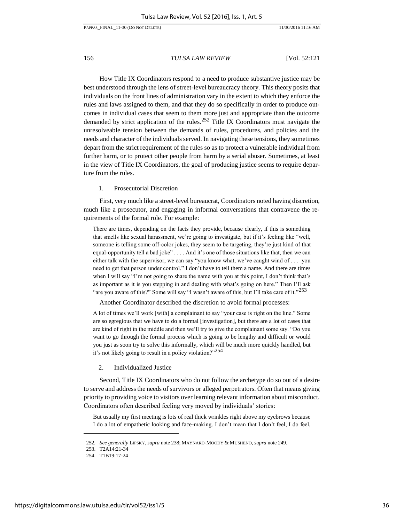How Title IX Coordinators respond to a need to produce substantive justice may be best understood through the lens of street-level bureaucracy theory. This theory posits that individuals on the front lines of administration vary in the extent to which they enforce the rules and laws assigned to them, and that they do so specifically in order to produce outcomes in individual cases that seem to them more just and appropriate than the outcome demanded by strict application of the rules.252 Title IX Coordinators must navigate the unresolveable tension between the demands of rules, procedures, and policies and the needs and character of the individuals served. In navigating these tensions, they sometimes depart from the strict requirement of the rules so as to protect a vulnerable individual from further harm, or to protect other people from harm by a serial abuser. Sometimes, at least in the view of Title IX Coordinators, the goal of producing justice seems to require departure from the rules.

# 1. Prosecutorial Discretion

First, very much like a street-level bureaucrat, Coordinators noted having discretion, much like a prosecutor, and engaging in informal conversations that contravene the requirements of the formal role. For example:

There are times, depending on the facts they provide, because clearly, if this is something that smells like sexual harassment, we're going to investigate, but if it's feeling like "well, someone is telling some off-color jokes, they seem to be targeting, they're just kind of that equal-opportunity tell a bad joke" . . . . And it's one of those situations like that, then we can either talk with the supervisor, we can say "you know what, we've caught wind of . . . you need to get that person under control." I don't have to tell them a name. And there are times when I will say "I'm not going to share the name with you at this point, I don't think that's as important as it is you stepping in and dealing with what's going on here." Then I'll ask "are you aware of this?" Some will say "I wasn't aware of this, but I'll take care of it."<sup>253</sup>

Another Coordinator described the discretion to avoid formal processes:

A lot of times we'll work [with] a complainant to say "your case is right on the line." Some are so egregious that we have to do a formal [investigation], but there are a lot of cases that are kind of right in the middle and then we'll try to give the complainant some say. "Do you want to go through the formal process which is going to be lengthy and difficult or would you just as soon try to solve this informally, which will be much more quickly handled, but it's not likely going to result in a policy violation?"<sup>254</sup>

# 2. Individualized Justice

Second, Title IX Coordinators who do not follow the archetype do so out of a desire to serve and address the needs of survivors or alleged perpetrators. Often that means giving priority to providing voice to visitors over learning relevant information about misconduct. Coordinators often described feeling very moved by individuals' stories:

But usually my first meeting is lots of real thick wrinkles right above my eyebrows because I do a lot of empathetic looking and face-making. I don't mean that I don't feel, I do feel,

<sup>252</sup>*. See generally* LIPSKY, *supra* note 238; MAYNARD-MOODY & MUSHENO, *supra* note 249.

<sup>253.</sup> T2A14:21-34

<sup>254.</sup> T1B19:17-24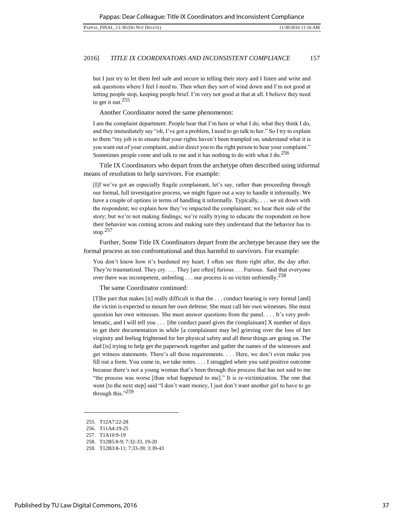but I just try to let them feel safe and secure in telling their story and I listen and write and ask questions where I feel I need to. Then when they sort of wind down and I'm not good at letting people stop, keeping people brief. I'm very not good at that at all. I believe they need to get it out.<sup>255</sup>

Another Coordinator noted the same phenomenon:

I am the complaint department. People hear that I'm here or what I do, what they think I do, and they immediately say "oh, I've got a problem, I need to go talk to her." So I try to explain to them "my job is to ensure that your rights haven't been trampled on, understand what it is you want out of your complaint, and/or direct you to the right person to hear your complaint." Sometimes people come and talk to me and it has nothing to do with what I do.<sup>256</sup>

Title IX Coordinators who depart from the archetype often described using informal means of resolution to help survivors. For example:

[I]f we've got an especially fragile complainant, let's say, rather than proceeding through our formal, full investigative process, we might figure out a way to handle it informally. We have a couple of options in terms of handling it informally. Typically, . . . we sit down with the respondent; we explain how they've impacted the complainant; we hear their side of the story; but we're not making findings; we're really trying to educate the respondent on how their behavior was coming across and making sure they understand that the behavior has to stop.<sup>257</sup>

Further, Some Title IX Coordinators depart from the archetype because they see the formal process as too confrontational and thus harmful to survivors. For example:

You don't know how it's burdened my heart. I often see them right after, the day after. They're traumatized. They cry. . . . They [are often] furious . . . Furious. Said that everyone over there was incompetent, unfeeling . . . our process is so victim unfriendly.<sup>258</sup>

The same Coordinator continued:

[T]he part that makes [it] really difficult is that the . . . conduct hearing is very formal [and] the victim is expected to mount her own defense. She must call her own witnesses. She must question her own witnesses. She must answer questions from the panel. . . . It's very problematic, and I will tell you  $\dots$  [the conduct panel gives the complainant] X number of days to get their documentation in while [a complainant may be] grieving over the loss of her virginity and feeling frightened for her physical safety and all these things are going on. The dad [is] trying to help get the paperwork together and gather the names of the witnesses and get witness statements. There's all these requirements. . . . Here, we don't even make you fill out a form. You come in, we take notes. . . . I struggled when you said positive outcome because there's not a young woman that's been through this process that has not said to me "the process was worse [than what happened to me]." It is re-victimization. The one that went [to the next step] said "I don't want money, I just don't want another girl to have to go through this." $^{259}$ 

<sup>255.</sup> T12A7:22-28

<sup>256.</sup> T11A4:19-25

<sup>257.</sup> T1A10:9-19

<sup>258.</sup> T12B5:8-9; 7:32-33, 19-20

<sup>259.</sup> T12B3:8-11; 7:33-39; 3:39-43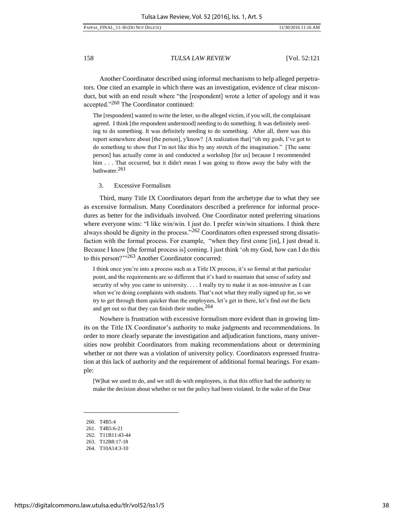#### PAPPAS\_FINAL\_11-30 (DO NOT DELETE) 11/30/2016 11:16 AM

158 *TULSA LAW REVIEW* [Vol. 52:121

Another Coordinator described using informal mechanisms to help alleged perpetrators. One cited an example in which there was an investigation, evidence of clear misconduct, but with an end result where "the [respondent] wrote a letter of apology and it was accepted."260 The Coordinator continued:

The [respondent] wanted to write the letter, so the alleged victim, if you will, the complainant agreed. I think [the respondent understood] needing to do something. It was definitely needing to do something. It was definitely needing to do something. After all, there was this report somewhere about [the person], y'know? [A realization that] "oh my gosh, I've got to do something to show that I'm not like this by any stretch of the imagination." [The same person] has actually come in and conducted a workshop [for us] because I recommended him . . . That occurred, but it didn't mean I was going to throw away the baby with the bathwater.<sup>261</sup>

3. Excessive Formalism

Third, many Title IX Coordinators depart from the archetype due to what they see as excessive formalism. Many Coordinators described a preference for informal procedures as better for the individuals involved. One Coordinator noted preferring situations where everyone wins: "I like win/win. I just do. I prefer win/win situations. I think there always should be dignity in the process."262 Coordinators often expressed strong dissatisfaction with the formal process. For example, "when they first come [in], I just dread it. Because I know [the formal process is] coming. I just think 'oh my God, how can I do this to this person?'"263 Another Coordinator concurred:

I think once you're into a process such as a Title IX process, it's so formal at that particular point, and the requirements are so different that it's hard to maintain that sense of safety and security of why you came to university. . . . I really try to make it as non-intrusive as I can when we're doing complaints with students. That's not what they really signed up for, so we try to get through them quicker than the employees, let's get in there, let's find out the facts and get out so that they can finish their studies.  $264$ 

Nowhere is frustration with excessive formalism more evident than in growing limits on the Title IX Coordinator's authority to make judgments and recommendations. In order to more clearly separate the investigation and adjudication functions, many universities now prohibit Coordinators from making recommendations about or determining whether or not there was a violation of university policy. Coordinators expressed frustration at this lack of authority and the requirement of additional formal hearings. For example:

[W]hat we used to do, and we still do with employees, is that this office had the authority to make the decision about whether or not the policy had been violated. In the wake of the Dear

<sup>260.</sup> T4B5:4

<sup>261.</sup> T4B5:6-21

<sup>262.</sup> T11B11:43-44

<sup>263.</sup> T12B8:17-18

<sup>264.</sup> T10A14:3-10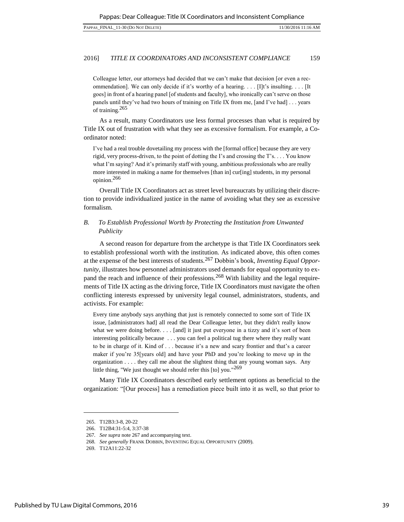Colleague letter, our attorneys had decided that we can't make that decision [or even a recommendation]. We can only decide if it's worthy of a hearing. . . .  $[1]$ t's insulting. . . . [It goes] in front of a hearing panel [of students and faculty], who ironically can't serve on those panels until they've had two hours of training on Title IX from me, [and I've had] . . . years of training.<sup>265</sup>

As a result, many Coordinators use less formal processes than what is required by Title IX out of frustration with what they see as excessive formalism. For example, a Coordinator noted:

I've had a real trouble dovetailing my process with the [formal office] because they are very rigid, very process-driven, to the point of dotting the I's and crossing the T's. . . . You know what I'm saying? And it's primarily staff with young, ambitious professionals who are really more interested in making a name for themselves [than in] cur[ing] students, in my personal opinion.<sup>266</sup>

Overall Title IX Coordinators act as street level bureaucrats by utilizing their discretion to provide individualized justice in the name of avoiding what they see as excessive formalism.

# *B. To Establish Professional Worth by Protecting the Institution from Unwanted Publicity*

A second reason for departure from the archetype is that Title IX Coordinators seek to establish professional worth with the institution. As indicated above, this often comes at the expense of the best interests of students.<sup>267</sup> Dobbin's book, *Inventing Equal Opportunity*, illustrates how personnel administrators used demands for equal opportunity to expand the reach and influence of their professions.<sup>268</sup> With liability and the legal requirements of Title IX acting as the driving force, Title IX Coordinators must navigate the often conflicting interests expressed by university legal counsel, administrators, students, and activists. For example:

Every time anybody says anything that just is remotely connected to some sort of Title IX issue, [administrators had] all read the Dear Colleague letter, but they didn't really know what we were doing before. . . . [and] it just put everyone in a tizzy and it's sort of been interesting politically because . . . you can feel a political tug there where they really want to be in charge of it. Kind of . . . because it's a new and scary frontier and that's a career maker if you're 35[years old] and have your PhD and you're looking to move up in the organization  $\dots$  they call me about the slightest thing that any young woman says. Any little thing, "We just thought we should refer this [to] you."<sup>269</sup>

Many Title IX Coordinators described early settlement options as beneficial to the organization: "[Our process] has a remediation piece built into it as well, so that prior to

<sup>265.</sup> T12B3:3-8, 20-22

<sup>266.</sup> T12B4:31-5:4, 3:37-38

<sup>267</sup>*. See supra* note 267 and accompanying text.

<sup>268</sup>*. See generally* FRANK DOBBIN, INVENTING EQUAL OPPORTUNITY (2009).

<sup>269.</sup> T12A11:22-32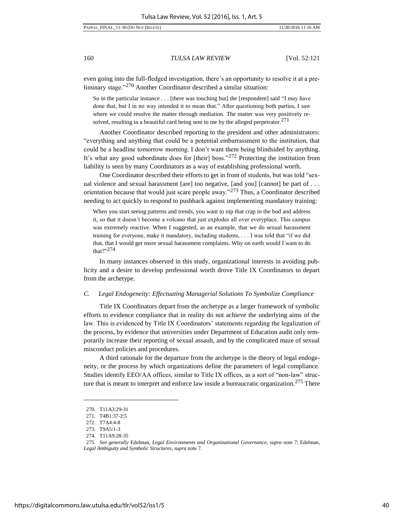even going into the full-fledged investigation, there's an opportunity to resolve it at a preliminary stage."<sup>270</sup> Another Coordinator described a similar situation:

So in the particular instance . . . [there was touching but] the [respondent] said "I may have done that, but I in no way intended it to mean that." After questioning both parties, I saw where we could resolve the matter through mediation. The matter was very positively resolved, resulting in a beautiful card being sent to me by the alleged perpetrator.<sup>271</sup>

Another Coordinator described reporting to the president and other administrators: "everything and anything that could be a potential embarrassment to the institution, that could be a headline tomorrow morning. I don't want them being blindsided by anything. It's what any good subordinate does for [their] boss."272 Protecting the institution from liability is seen by many Coordinators as a way of establishing professional worth.

One Coordinator described their efforts to get in front of students, but was told "sexual violence and sexual harassment [are] too negative, [and you] [cannot] be part of . . . orientation because that would just scare people away."<sup>273</sup> Thus, a Coordinator described needing to act quickly to respond to pushback against implementing mandatory training:

When you start seeing patterns and trends, you want to nip that crap in the bud and address it, so that it doesn't become a volcano that just explodes all over everyplace. This campus was extremely reactive. When I suggested, as an example, that we do sexual harassment training for everyone, make it mandatory, including students, . . . I was told that "if we did that, that I would get more sexual harassment complaints. Why on earth would I want to do that?" $274$ 

In many instances observed in this study, organizational interests in avoiding publicity and a desire to develop professional worth drove Title IX Coordinators to depart from the archetype.

# *C. Legal Endogeneity: Effectuating Managerial Solutions To Symbolize Compliance*

Title IX Coordinators depart from the archetype as a larger framework of symbolic efforts to evidence compliance that in reality do not achieve the underlying aims of the law. This is evidenced by Title IX Coordinators' statements regarding the legalization of the process, by evidence that universities under Department of Education audit only temporarily increase their reporting of sexual assault, and by the complicated maze of sexual misconduct policies and procedures.

A third rationale for the departure from the archetype is the theory of legal endogeneity, or the process by which organizations define the parameters of legal compliance. Studies identify EEO/AA offices, similar to Title IX offices, as a sort of "non-law" structure that is meant to interpret and enforce law inside a bureaucratic organization.<sup>275</sup> There

<sup>270.</sup> T11A3:29-31

<sup>271.</sup> T4B1:37-2:5

<sup>272.</sup> T7A4:4-8

<sup>273.</sup> T9A5:1-3

<sup>274.</sup> T11A9:28-35

<sup>275</sup>*. See generally* Edelman, *Legal Environments and Organizational Governance*, *supra* note 7; Edelman, *Legal Ambiguity and Symbolic Structures*, *supra* note 7.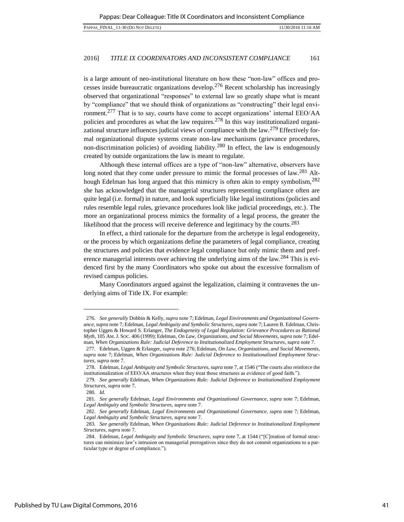is a large amount of neo-institutional literature on how these "non-law" offices and processes inside bureaucratic organizations develop.<sup>276</sup> Recent scholarship has increasingly observed that organizational "responses" to external law so greatly shape what is meant by "compliance" that we should think of organizations as "constructing" their legal environment.<sup>277</sup> That is to say, courts have come to accept organizations' internal  $EEO/AA$ policies and procedures as what the law requires.<sup>278</sup> In this way institutionalized organizational structure influences judicial views of compliance with the law.<sup>279</sup> Effectively formal organizational dispute systems create non-law mechanisms (grievance procedures, non-discrimination policies) of avoiding liability.<sup>280</sup> In effect, the law is endogenously created by outside organizations the law is meant to regulate.

Although these internal offices are a type of "non-law" alternative, observers have long noted that they come under pressure to mimic the formal processes of law.<sup>281</sup> Although Edelman has long argued that this mimicry is often akin to empty symbolism,<sup>282</sup> she has acknowledged that the managerial structures representing compliance often are quite legal (i.e. formal) in nature, and look superficially like legal institutions (policies and rules resemble legal rules, grievance procedures look like judicial proceedings, etc.). The more an organizational process mimics the formality of a legal process, the greater the likelihood that the process will receive deference and legitimacy by the courts.<sup>283</sup>

In effect, a third rationale for the departure from the archetype is legal endogeneity, or the process by which organizations define the parameters of legal compliance, creating the structures and policies that evidence legal compliance but only mimic them and preference managerial interests over achieving the underlying aims of the law.<sup>284</sup> This is evidenced first by the many Coordinators who spoke out about the excessive formalism of revised campus policies.

Many Coordinators argued against the legalization, claiming it contravenes the underlying aims of Title IX. For example:

<sup>276</sup>*. See generally* Dobbin & Kelly, *supra* note 7; Edelman, *Legal Environments and Organizational Governance*, *supra* note 7; Edelman, *Legal Ambiguity and Symbolic Structures*, *supra* note 7; Lauren B. Edelman, Christopher Uggen & Howard S. Erlanger, *The Endogeneity of Legal Regulation: Grievance Procedures as Rational Myth*, 105 AM.J. SOC. 406 (1999); Edelman, *On Law, Organizations, and Social Movements*, *supra* note 7; Edelman, *When Organizations Rule: Judicial Deference to Institutionalized Employment Structures*, *supra* note 7.

<sup>277.</sup> Edelman, Uggen & Erlanger, *supra* note 276; Edelman, *On Law, Organizations, and Social Movements*, *supra* note 7; Edelman, *When Organizations Rule: Judicial Deference to Institutionalized Employment Structures*, *supra* note 7.

<sup>278.</sup> Edelman, *Legal Ambiguity and Symbolic Structures*, *supra* note 7, at 1546 ("The courts also reinforce the institutionalization of EEO/AA structures when they treat those structures as evidence of good faith.").

<sup>279</sup>*. See generally* Edelman, *When Organizations Rule: Judicial Deference to Institutionalized Employment Structures*, *supra* note 7.

<sup>280</sup>*. Id.* 

<sup>281</sup>*. See generally* Edelman, *Legal Environments and Organizational Governance*, *supra* note 7; Edelman, *Legal Ambiguity and Symbolic Structures*, *supra* note 7.

<sup>282</sup>*. See generally* Edelman, *Legal Environments and Organizational Governance*, *supra* note 7; Edelman, *Legal Ambiguity and Symbolic Structures*, *supra* note 7.

<sup>283</sup>*. See generally* Edelman, *When Organizations Rule: Judicial Deference to Institutionalized Employment Structures*, *supra* note 7.

<sup>284.</sup> Edelman, *Legal Ambiguity and Symbolic Structures*, *supra* note 7, at 1544 ("[C]reation of formal structures can minimize law's intrusion on managerial prerogatives since they do not commit organizations to a particular type or degree of compliance.").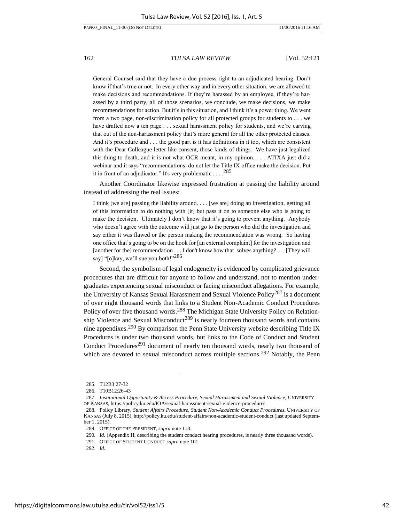General Counsel said that they have a due process right to an adjudicated hearing. Don't know if that's true or not. In every other way and in every other situation, we are allowed to make decisions and recommendations. If they're harassed by an employee, if they're harassed by a third party, all of those scenarios, we conclude, we make decisions, we make recommendations for action. But it's in this situation, and I think it's a power thing. We went from a two page, non-discrimination policy for all protected groups for students to . . . we have drafted now a ten page . . . sexual harassment policy for students, and we're carving that out of the non-harassment policy that's more general for all the other protected classes. And it's procedure and . . . the good part is it has definitions in it too, which are consistent with the Dear Colleague letter like consent, those kinds of things. We have just legalized this thing to death, and it is not what OCR meant, in my opinion. . . . ATIXA just did a webinar and it says "recommendations: do not let the Title IX office make the decision. Put it in front of an adjudicator." It's very problematic . . . .<sup>285</sup>

Another Coordinator likewise expressed frustration at passing the liability around instead of addressing the real issues:

I think [we are] passing the liability around. . . . [we are] doing an investigation, getting all of this information to do nothing with [it] but pass it on to someone else who is going to make the decision. Ultimately I don't know that it's going to prevent anything. Anybody who doesn't agree with the outcome will just go to the person who did the investigation and say either it was flawed or the person making the recommendation was wrong. So having one office that's going to be on the hook for [an external complaint] for the investigation and [another for the] recommendation . . . I don't know how that solves anything? . . . [They will say] "[o]kay, we'll sue you both!"<sup>286</sup>

Second, the symbolism of legal endogeneity is evidenced by complicated grievance procedures that are difficult for anyone to follow and understand, not to mention undergraduates experiencing sexual misconduct or facing misconduct allegations. For example, the University of Kansas Sexual Harassment and Sexual Violence Policy<sup>287</sup> is a document of over eight thousand words that links to a Student Non-Academic Conduct Procedures Policy of over five thousand words.<sup>288</sup> The Michigan State University Policy on Relationship Violence and Sexual Misconduct<sup>289</sup> is nearly fourteen thousand words and contains nine appendixes.<sup>290</sup> By comparison the Penn State University website describing Title IX Procedures is under two thousand words, but links to the Code of Conduct and Student Conduct Procedures<sup>291</sup> document of nearly ten thousand words, nearly two thousand of which are devoted to sexual misconduct across multiple sections.<sup>292</sup> Notably, the Penn

<sup>285.</sup> T12B3:27-32

<sup>286.</sup> T10B12:26-43

<sup>287.</sup> *Institutional Opportunity & Access Procedure, Sexual Harassment and Sexual Violence,* UNIVERSITY OF KANSAS, [https://policy.ku.edu/IOA/sexual-harassment-sexual-violence-procedures.](https://policy.ku.edu/IOA/sexual-harassment-sexual-violence-procedures)

<sup>288.</sup> Policy Library, *Student Affairs Procedure, Student Non-Academic Conduct Procedures*, UNIVERSITY OF KANSAS (July 8, 2015)[, http://policy.ku.edu/student-affairs/non-academic-student-conduct \(](http://policy.ku.edu/student-affairs/non-academic-student-conduct)last updated September 1, 2015).

<sup>289.</sup> OFFICE OF THE PRESIDENT, *supra* note 118.

<sup>290</sup>*. Id.* (Appendix H, describing the student conduct hearing procedures, is nearly three thousand words).

<sup>291</sup>*.* OFFICE OF STUDENT CONDUCT *supra* note 101.

<sup>292.</sup> *Id.*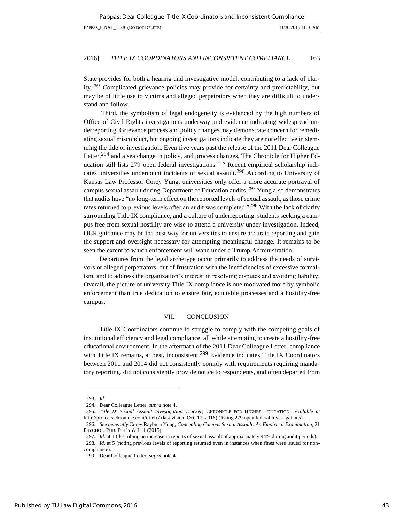11/30/2016 11:16 AM

| PAPPAS FINAL 11-30 (DO NOT DELETE) |  |  |
|------------------------------------|--|--|

#### 2016] *TITLE IX COORDINATORS AND INCONSISTENT COMPLIANCE* 163

State provides for both a hearing and investigative model, contributing to a lack of clarity.293 Complicated grievance policies may provide for certainty and predictability, but may be of little use to victims and alleged perpetrators when they are difficult to understand and follow.

 Third, the symbolism of legal endogeneity is evidenced by the high numbers of Office of Civil Rights investigations underway and evidence indicating widespread underreporting. Grievance process and policy changes may demonstrate concern for remediating sexual misconduct, but ongoing investigations indicate they are not effective in stemming the tide of investigation. Even five years past the release of the 2011 Dear Colleague Letter,<sup>294</sup> and a sea change in policy, and process changes, The Chronicle for Higher Education still lists 279 open federal investigations.<sup>295</sup> Recent empirical scholarship indicates universities undercount incidents of sexual assault.<sup>296</sup> According to University of Kansas Law Professor Corey Yung, universities only offer a more accurate portrayal of campus sexual assault during Department of Education audits.297 Yung also demonstrates that audits have "no long-term effect on the reported levels of sexual assault, as those crime rates returned to previous levels after an audit was completed."298 With the lack of clarity surrounding Title IX compliance, and a culture of underreporting, students seeking a campus free from sexual hostility are wise to attend a university under investigation. Indeed, OCR guidance may be the best way for universities to ensure accurate reporting and gain the support and oversight necessary for attempting meaningful change. It remains to be seen the extent to which enforcement will wane under a Trump Administration.

Departures from the legal archetype occur primarily to address the needs of survivors or alleged perpetrators, out of frustration with the inefficiencies of excessive formalism, and to address the organization's interest in resolving disputes and avoiding liability. Overall, the picture of university Title IX compliance is one motivated more by symbolic enforcement than true dedication to ensure fair, equitable processes and a hostility-free campus.

#### VII. [CONCLUSION](#page-1-0)

Title IX Coordinators continue to struggle to comply with the competing goals of institutional efficiency and legal compliance, all while attempting to create a hostility-free educational environment. In the aftermath of the 2011 Dear Colleague Letter, compliance with Title IX remains, at best, inconsistent.<sup>299</sup> Evidence indicates Title IX Coordinators between 2011 and 2014 did not consistently comply with requirements requiring mandatory reporting, did not consistently provide notice to respondents, and often departed from

<sup>293</sup>*. Id.* 

<sup>294.</sup> Dear Colleague Letter, *supra* not[e 4.](#page-2-0)

<sup>295</sup>*. Title IX Sexual Assault Investigation Tracker,* CHRONICLE FOR HIGHER EDUCATION, *available at* <http://projects.chronicle.com/titleix/>(last visited Oct. 17, 2016) (listing 279 open federal investigations).

<sup>296</sup>*. See generally* Corey Rayburn Yung, *Concealing Campus Sexual Assault: An Empirical Examination*, 21 PSYCHOL. PUB. POL'Y & L. 1 (2015).

<sup>297</sup>*. Id.* at 1 (describing an increase in reports of sexual assault of approximately 44% during audit periods).

<sup>298</sup>*. Id.* at 5 (noting previous levels of reporting returned even in instances when fines were issued for noncompliance).

<sup>299.</sup> Dear Colleague Letter, *supra* not[e 4.](#page-2-0)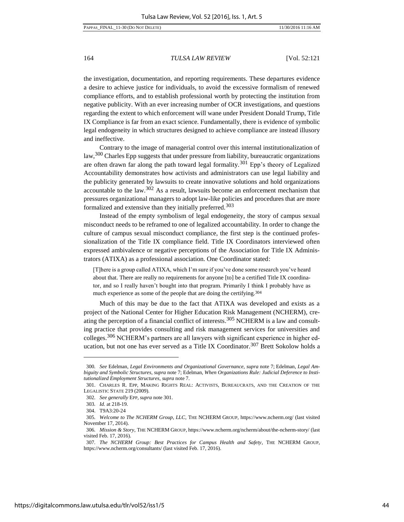the investigation, documentation, and reporting requirements. These departures evidence a desire to achieve justice for individuals, to avoid the excessive formalism of renewed compliance efforts, and to establish professional worth by protecting the institution from negative publicity. With an ever increasing number of OCR investigations, and questions regarding the extent to which enforcement will wane under President Donald Trump, Title IX Compliance is far from an exact science. Fundamentally, there is evidence of symbolic legal endogeneity in which structures designed to achieve compliance are instead illusory and ineffective.

Contrary to the image of managerial control over this internal institutionalization of law,300 Charles Epp suggests that under pressure from liability, bureaucratic organizations are often drawn far along the path toward legal formality.<sup>301</sup> Epp's theory of Legalized Accountability demonstrates how activists and administrators can use legal liability and the publicity generated by lawsuits to create innovative solutions and hold organizations accountable to the law.<sup>302</sup> As a result, lawsuits become an enforcement mechanism that pressures organizational managers to adopt law-like policies and procedures that are more formalized and extensive than they initially preferred.<sup>303</sup>

Instead of the empty symbolism of legal endogeneity, the story of campus sexual misconduct needs to be reframed to one of legalized accountability. In order to change the culture of campus sexual misconduct compliance, the first step is the continued professionalization of the Title IX compliance field. Title IX Coordinators interviewed often expressed ambivalence or negative perceptions of the Association for Title IX Administrators (ATIXA) as a professional association. One Coordinator stated:

[T]here is a group called ATIXA, which I'm sure if you've done some research you've heard about that. There are really no requirements for anyone [to] be a certified Title IX coordinator, and so I really haven't bought into that program. Primarily I think I probably have as much experience as some of the people that are doing the certifying.<sup>304</sup>

Much of this may be due to the fact that ATIXA was developed and exists as a project of the National Center for Higher Education Risk Management (NCHERM), creating the perception of a financial conflict of interests.<sup>305</sup> NCHERM is a law and consulting practice that provides consulting and risk management services for universities and colleges.<sup>306</sup> NCHERM's partners are all lawyers with significant experience in higher education, but not one has ever served as a Title IX Coordinator.<sup>307</sup> Brett Sokolow holds a

<sup>300</sup>*. See* Edelman, *Legal Environments and Organizational Governance*, *supra* note 7; Edelman, *Legal Ambiguity and Symbolic Structures*, *supra* note 7; Edelman, *When Organizations Rule: Judicial Deference to Institutionalized Employment Structures*, *supra* note 7.

<sup>301.</sup> CHARLES R. EPP, MAKING RIGHTS REAL: ACTIVISTS, BUREAUCRATS, AND THE CREATION OF THE LEGALISTIC STATE 219 (2009).

<sup>302</sup>*. See generally* EPP, *supra* note 301.

<sup>303</sup>*. Id.* at 218-19.

<sup>304.</sup> T9A3:20-24

<sup>305</sup>*. Welcome to The NCHERM Group, LLC*, THE NCHERM GROUP, https://www.ncherm.org/ (last visited November 17, 2014).

<sup>306</sup>*. Mission & Story*, THE NCHERM GROUP, https://www.ncherm.org/ncherm/about/the-ncherm-story/ (last visited Feb. 17, 2016).

<sup>307</sup>*. The NCHERM Group: Best Practices for Campus Health and Safety*, THE NCHERM GROUP, [https://www.ncherm.org/consultants/ \(](https://www.ncherm.org/consultants/)last visited Feb. 17, 2016).